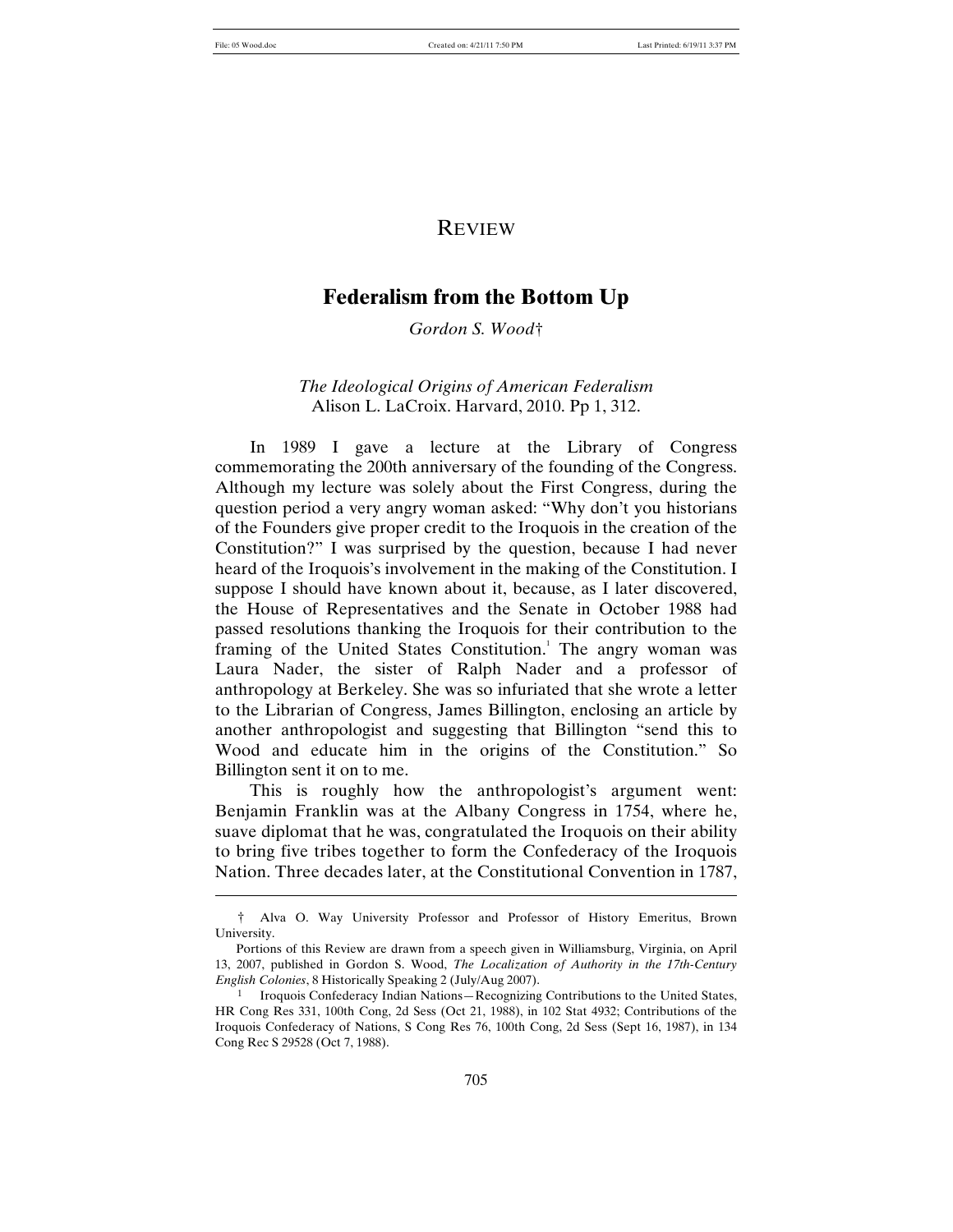l

## REVIEW

# **Federalism from the Bottom Up**

*Gordon S. Wood*†

## *The Ideological Origins of American Federalism* Alison L. LaCroix. Harvard, 2010. Pp 1, 312.

In 1989 I gave a lecture at the Library of Congress commemorating the 200th anniversary of the founding of the Congress. Although my lecture was solely about the First Congress, during the question period a very angry woman asked: "Why don't you historians of the Founders give proper credit to the Iroquois in the creation of the Constitution?" I was surprised by the question, because I had never heard of the Iroquois's involvement in the making of the Constitution. I suppose I should have known about it, because, as I later discovered, the House of Representatives and the Senate in October 1988 had passed resolutions thanking the Iroquois for their contribution to the framing of the United States Constitution.<sup>1</sup> The angry woman was Laura Nader, the sister of Ralph Nader and a professor of anthropology at Berkeley. She was so infuriated that she wrote a letter to the Librarian of Congress, James Billington, enclosing an article by another anthropologist and suggesting that Billington "send this to Wood and educate him in the origins of the Constitution." So Billington sent it on to me.

This is roughly how the anthropologist's argument went: Benjamin Franklin was at the Albany Congress in 1754, where he, suave diplomat that he was, congratulated the Iroquois on their ability to bring five tribes together to form the Confederacy of the Iroquois Nation. Three decades later, at the Constitutional Convention in 1787,

<sup>†</sup> Alva O. Way University Professor and Professor of History Emeritus, Brown University.

Portions of this Review are drawn from a speech given in Williamsburg, Virginia, on April 13, 2007, published in Gordon S. Wood, *The Localization of Authority in the 17th-Century English Colonies*, 8 Historically Speaking 2 (July/Aug 2007).

<sup>1</sup> Iroquois Confederacy Indian Nations—Recognizing Contributions to the United States, HR Cong Res 331, 100th Cong, 2d Sess (Oct 21, 1988), in 102 Stat 4932; Contributions of the Iroquois Confederacy of Nations, S Cong Res 76, 100th Cong, 2d Sess (Sept 16, 1987), in 134 Cong Rec S 29528 (Oct 7, 1988).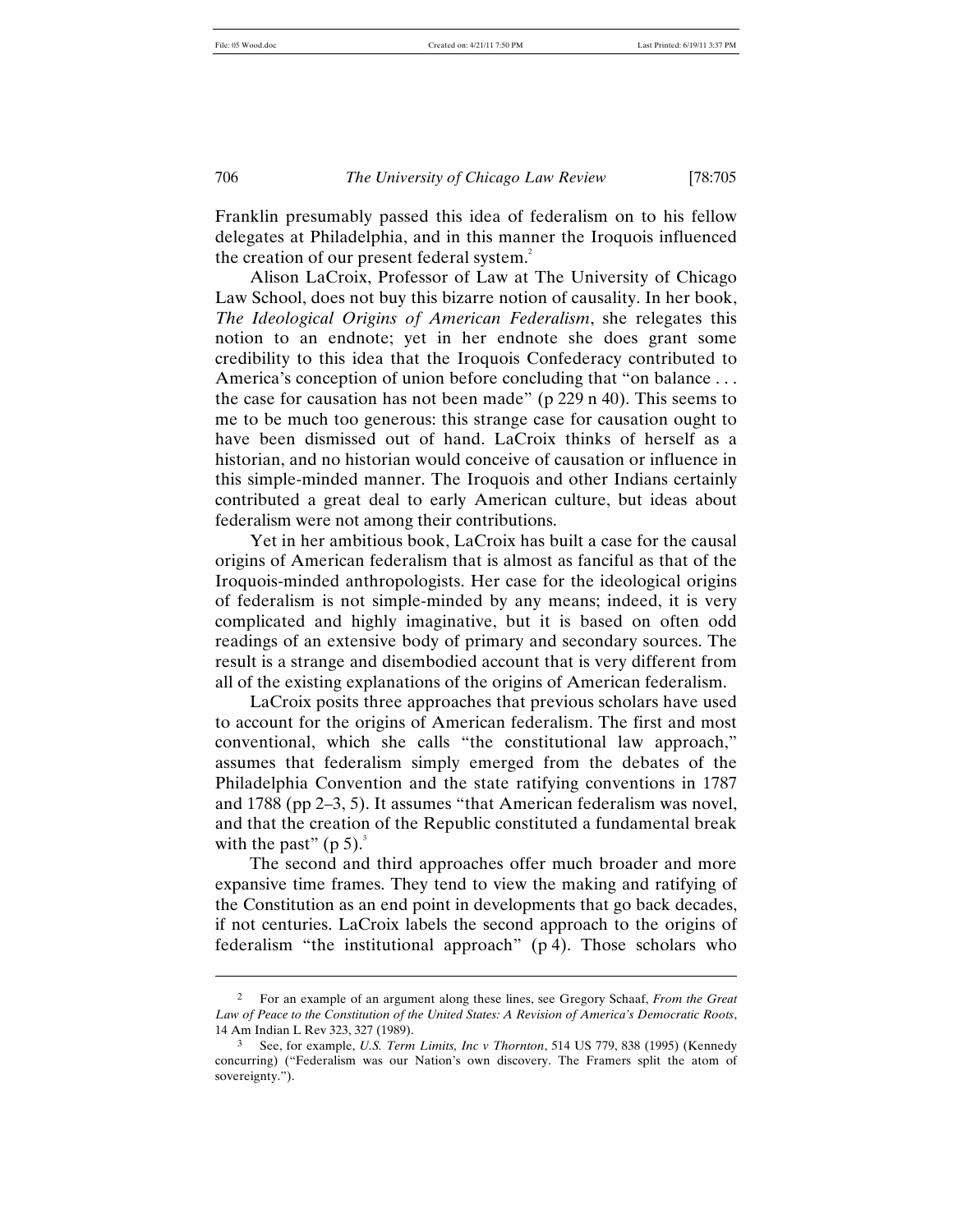Franklin presumably passed this idea of federalism on to his fellow delegates at Philadelphia, and in this manner the Iroquois influenced the creation of our present federal system.<sup>2</sup>

Alison LaCroix, Professor of Law at The University of Chicago Law School, does not buy this bizarre notion of causality. In her book, *The Ideological Origins of American Federalism*, she relegates this notion to an endnote; yet in her endnote she does grant some credibility to this idea that the Iroquois Confederacy contributed to America's conception of union before concluding that "on balance ... the case for causation has not been made" (p 229 n 40). This seems to me to be much too generous: this strange case for causation ought to have been dismissed out of hand. LaCroix thinks of herself as a historian, and no historian would conceive of causation or influence in this simple-minded manner. The Iroquois and other Indians certainly contributed a great deal to early American culture, but ideas about federalism were not among their contributions.

Yet in her ambitious book, LaCroix has built a case for the causal origins of American federalism that is almost as fanciful as that of the Iroquois-minded anthropologists. Her case for the ideological origins of federalism is not simple-minded by any means; indeed, it is very complicated and highly imaginative, but it is based on often odd readings of an extensive body of primary and secondary sources. The result is a strange and disembodied account that is very different from all of the existing explanations of the origins of American federalism.

LaCroix posits three approaches that previous scholars have used to account for the origins of American federalism. The first and most conventional, which she calls "the constitutional law approach," assumes that federalism simply emerged from the debates of the Philadelphia Convention and the state ratifying conventions in 1787 and 1788 (pp 2–3, 5). It assumes "that American federalism was novel, and that the creation of the Republic constituted a fundamental break with the past"  $(p 5)$ .

The second and third approaches offer much broader and more expansive time frames. They tend to view the making and ratifying of the Constitution as an end point in developments that go back decades, if not centuries. LaCroix labels the second approach to the origins of federalism "the institutional approach" (p 4). Those scholars who

<sup>2</sup> For an example of an argument along these lines, see Gregory Schaaf, *From the Great Law of Peace to the Constitution of the United States: A Revision of America's Democratic Roots*, 14 Am Indian L Rev 323, 327 (1989).

<sup>3</sup> See, for example, *U.S. Term Limits, Inc v Thornton*, 514 US 779, 838 (1995) (Kennedy concurring) ("Federalism was our Nation's own discovery. The Framers split the atom of sovereignty.").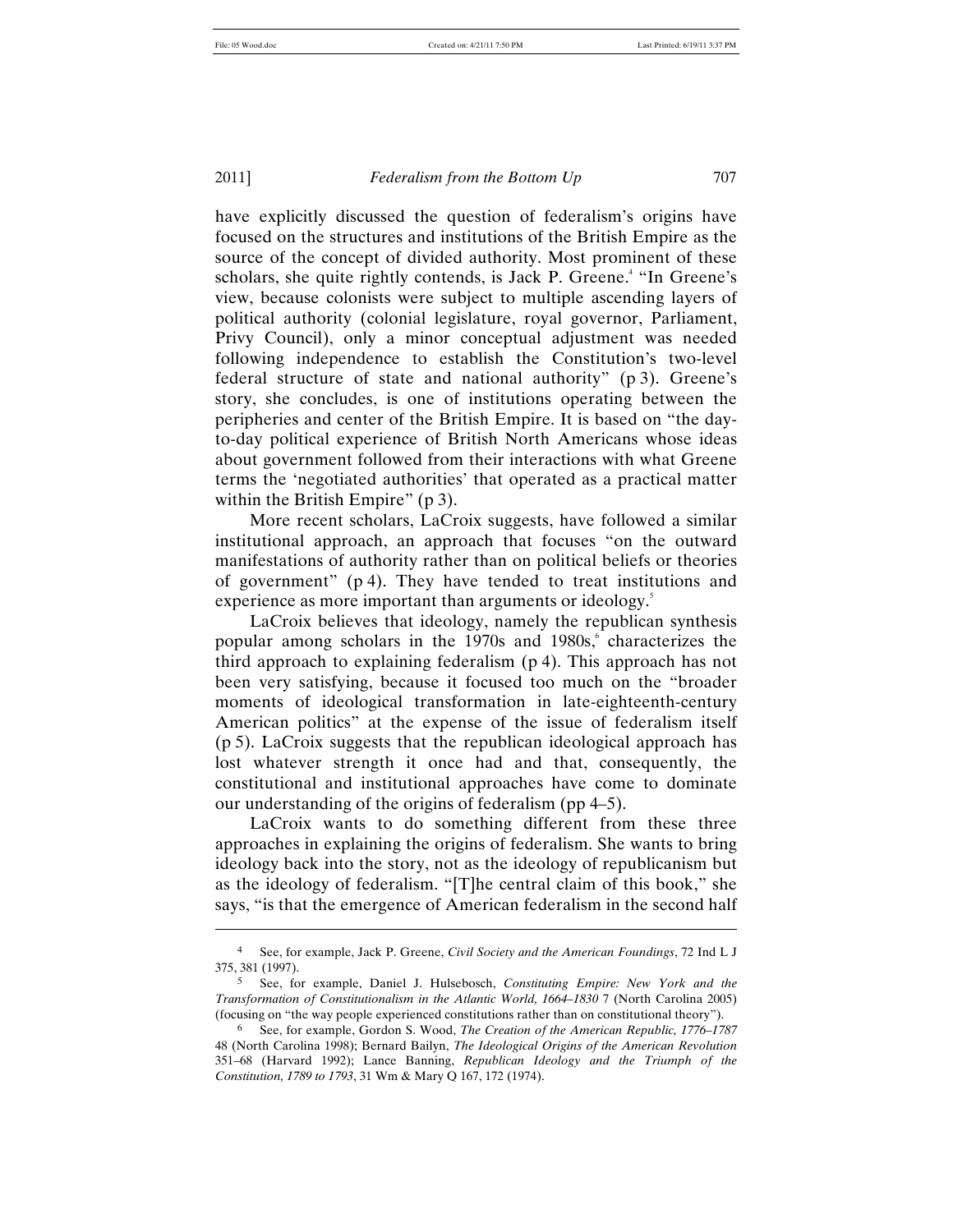l

#### 2011] *Federalism from the Bottom Up* 707

have explicitly discussed the question of federalism's origins have focused on the structures and institutions of the British Empire as the source of the concept of divided authority. Most prominent of these scholars, she quite rightly contends, is Jack P. Greene.<sup>4</sup> "In Greene's view, because colonists were subject to multiple ascending layers of political authority (colonial legislature, royal governor, Parliament, Privy Council), only a minor conceptual adjustment was needed following independence to establish the Constitution's two-level federal structure of state and national authority" (p 3). Greene's story, she concludes, is one of institutions operating between the peripheries and center of the British Empire. It is based on "the dayto-day political experience of British North Americans whose ideas about government followed from their interactions with what Greene terms the 'negotiated authorities' that operated as a practical matter within the British Empire" (p 3).

More recent scholars, LaCroix suggests, have followed a similar institutional approach, an approach that focuses "on the outward manifestations of authority rather than on political beliefs or theories of government" (p 4). They have tended to treat institutions and experience as more important than arguments or ideology.<sup>5</sup>

LaCroix believes that ideology, namely the republican synthesis popular among scholars in the 1970s and 1980s,<sup>6</sup> characterizes the third approach to explaining federalism (p 4). This approach has not been very satisfying, because it focused too much on the "broader moments of ideological transformation in late-eighteenth-century American politics" at the expense of the issue of federalism itself (p 5). LaCroix suggests that the republican ideological approach has lost whatever strength it once had and that, consequently, the constitutional and institutional approaches have come to dominate our understanding of the origins of federalism (pp 4–5).

LaCroix wants to do something different from these three approaches in explaining the origins of federalism. She wants to bring ideology back into the story, not as the ideology of republicanism but as the ideology of federalism. "[T]he central claim of this book," she says, "is that the emergence of American federalism in the second half

<sup>4</sup> See, for example, Jack P. Greene, *Civil Society and the American Foundings*, 72 Ind L J 375, 381 (1997).

<sup>5</sup> See, for example, Daniel J. Hulsebosch, *Constituting Empire: New York and the Transformation of Constitutionalism in the Atlantic World, 1664–1830* 7 (North Carolina 2005) (focusing on "the way people experienced constitutions rather than on constitutional theory").

<sup>6</sup> See, for example, Gordon S. Wood, *The Creation of the American Republic, 1776–1787* 48 (North Carolina 1998); Bernard Bailyn, *The Ideological Origins of the American Revolution* 351–68 (Harvard 1992); Lance Banning, *Republican Ideology and the Triumph of the Constitution, 1789 to 1793*, 31 Wm & Mary Q 167, 172 (1974).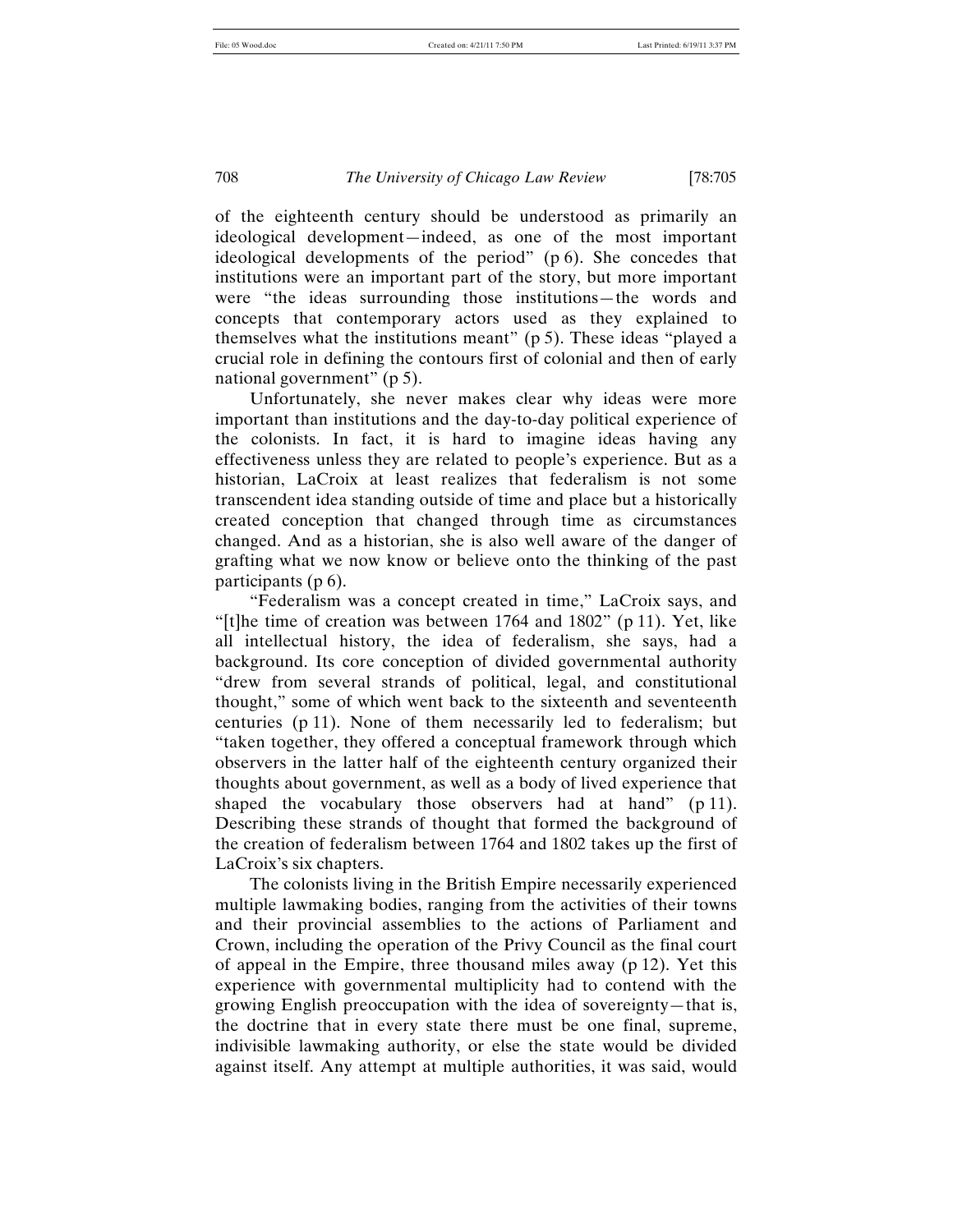of the eighteenth century should be understood as primarily an ideological development—indeed, as one of the most important ideological developments of the period" (p 6). She concedes that institutions were an important part of the story, but more important were "the ideas surrounding those institutions—the words and concepts that contemporary actors used as they explained to themselves what the institutions meant" (p 5). These ideas "played a crucial role in defining the contours first of colonial and then of early national government" (p 5).

Unfortunately, she never makes clear why ideas were more important than institutions and the day-to-day political experience of the colonists. In fact, it is hard to imagine ideas having any effectiveness unless they are related to people's experience. But as a historian, LaCroix at least realizes that federalism is not some transcendent idea standing outside of time and place but a historically created conception that changed through time as circumstances changed. And as a historian, she is also well aware of the danger of grafting what we now know or believe onto the thinking of the past participants (p 6).

"Federalism was a concept created in time," LaCroix says, and "[t]he time of creation was between 1764 and 1802" (p 11). Yet, like all intellectual history, the idea of federalism, she says, had a background. Its core conception of divided governmental authority "drew from several strands of political, legal, and constitutional thought," some of which went back to the sixteenth and seventeenth centuries (p 11). None of them necessarily led to federalism; but "taken together, they offered a conceptual framework through which observers in the latter half of the eighteenth century organized their thoughts about government, as well as a body of lived experience that shaped the vocabulary those observers had at hand" (p 11). Describing these strands of thought that formed the background of the creation of federalism between 1764 and 1802 takes up the first of LaCroix's six chapters.

The colonists living in the British Empire necessarily experienced multiple lawmaking bodies, ranging from the activities of their towns and their provincial assemblies to the actions of Parliament and Crown, including the operation of the Privy Council as the final court of appeal in the Empire, three thousand miles away (p 12). Yet this experience with governmental multiplicity had to contend with the growing English preoccupation with the idea of sovereignty—that is, the doctrine that in every state there must be one final, supreme, indivisible lawmaking authority, or else the state would be divided against itself. Any attempt at multiple authorities, it was said, would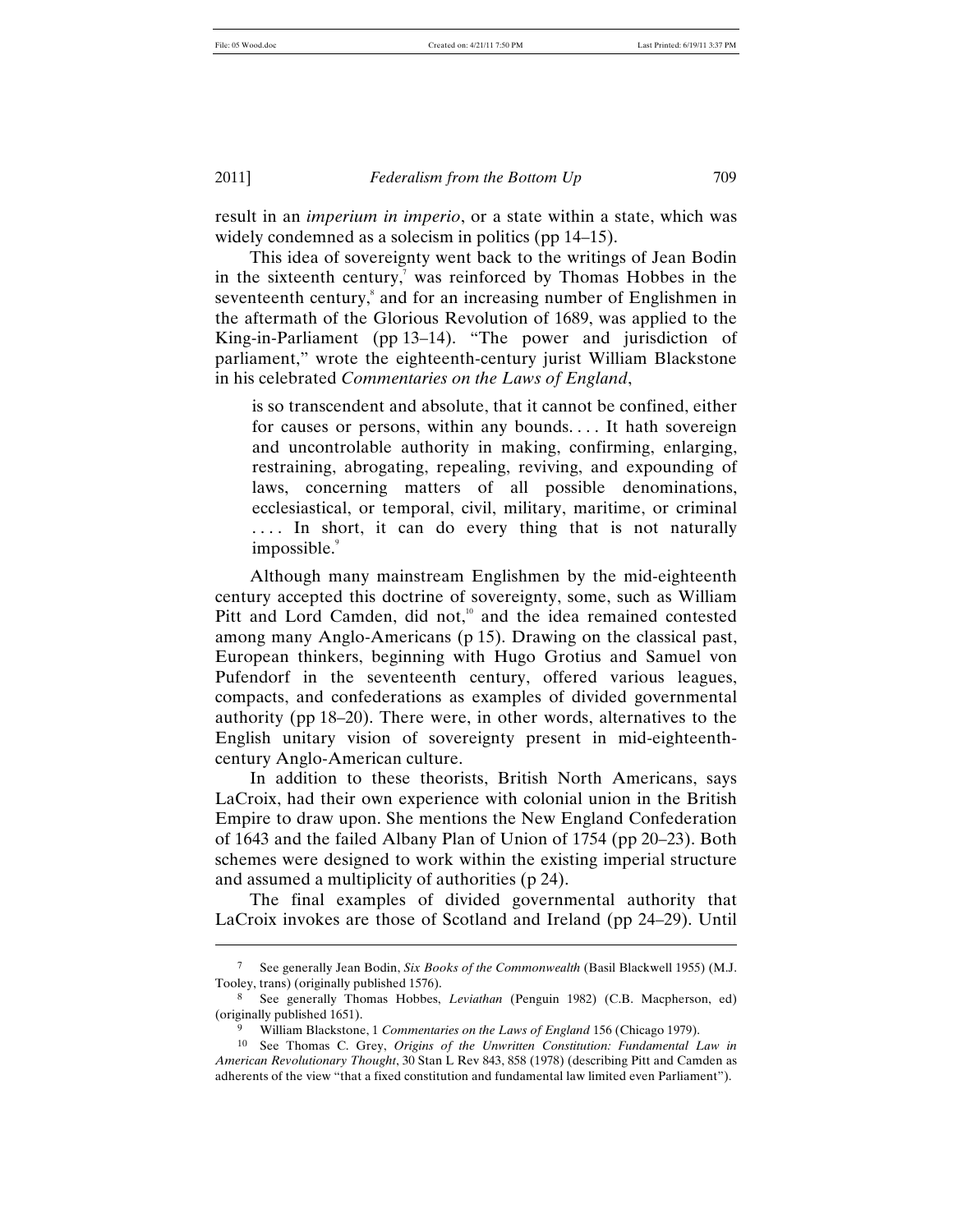$\overline{a}$ 

#### 2011] *Federalism from the Bottom Up* 709

result in an *imperium in imperio*, or a state within a state, which was widely condemned as a solecism in politics (pp 14–15).

This idea of sovereignty went back to the writings of Jean Bodin in the sixteenth century, $\bar{y}$  was reinforced by Thomas Hobbes in the seventeenth century,<sup>8</sup> and for an increasing number of Englishmen in the aftermath of the Glorious Revolution of 1689, was applied to the King-in-Parliament (pp 13–14). "The power and jurisdiction of parliament," wrote the eighteenth-century jurist William Blackstone in his celebrated *Commentaries on the Laws of England*,

is so transcendent and absolute, that it cannot be confined, either for causes or persons, within any bounds.... It hath sovereign and uncontrolable authority in making, confirming, enlarging, restraining, abrogating, repealing, reviving, and expounding of laws, concerning matters of all possible denominations, ecclesiastical, or temporal, civil, military, maritime, or criminal .... In short, it can do every thing that is not naturally impossible.<sup>9</sup>

Although many mainstream Englishmen by the mid-eighteenth century accepted this doctrine of sovereignty, some, such as William Pitt and Lord Camden, did not,<sup>10</sup> and the idea remained contested among many Anglo-Americans (p 15). Drawing on the classical past, European thinkers, beginning with Hugo Grotius and Samuel von Pufendorf in the seventeenth century, offered various leagues, compacts, and confederations as examples of divided governmental authority (pp 18–20). There were, in other words, alternatives to the English unitary vision of sovereignty present in mid-eighteenthcentury Anglo-American culture.

In addition to these theorists, British North Americans, says LaCroix, had their own experience with colonial union in the British Empire to draw upon. She mentions the New England Confederation of 1643 and the failed Albany Plan of Union of 1754 (pp 20–23). Both schemes were designed to work within the existing imperial structure and assumed a multiplicity of authorities (p 24).

The final examples of divided governmental authority that LaCroix invokes are those of Scotland and Ireland (pp 24–29). Until

<sup>7</sup> See generally Jean Bodin, *Six Books of the Commonwealth* (Basil Blackwell 1955) (M.J. Tooley, trans) (originally published 1576).

<sup>8</sup> See generally Thomas Hobbes, *Leviathan* (Penguin 1982) (C.B. Macpherson, ed) (originally published 1651).

<sup>9</sup> William Blackstone, 1 *Commentaries on the Laws of England* 156 (Chicago 1979).

<sup>10</sup> See Thomas C. Grey, *Origins of the Unwritten Constitution: Fundamental Law in American Revolutionary Thought*, 30 Stan L Rev 843, 858 (1978) (describing Pitt and Camden as adherents of the view "that a fixed constitution and fundamental law limited even Parliament").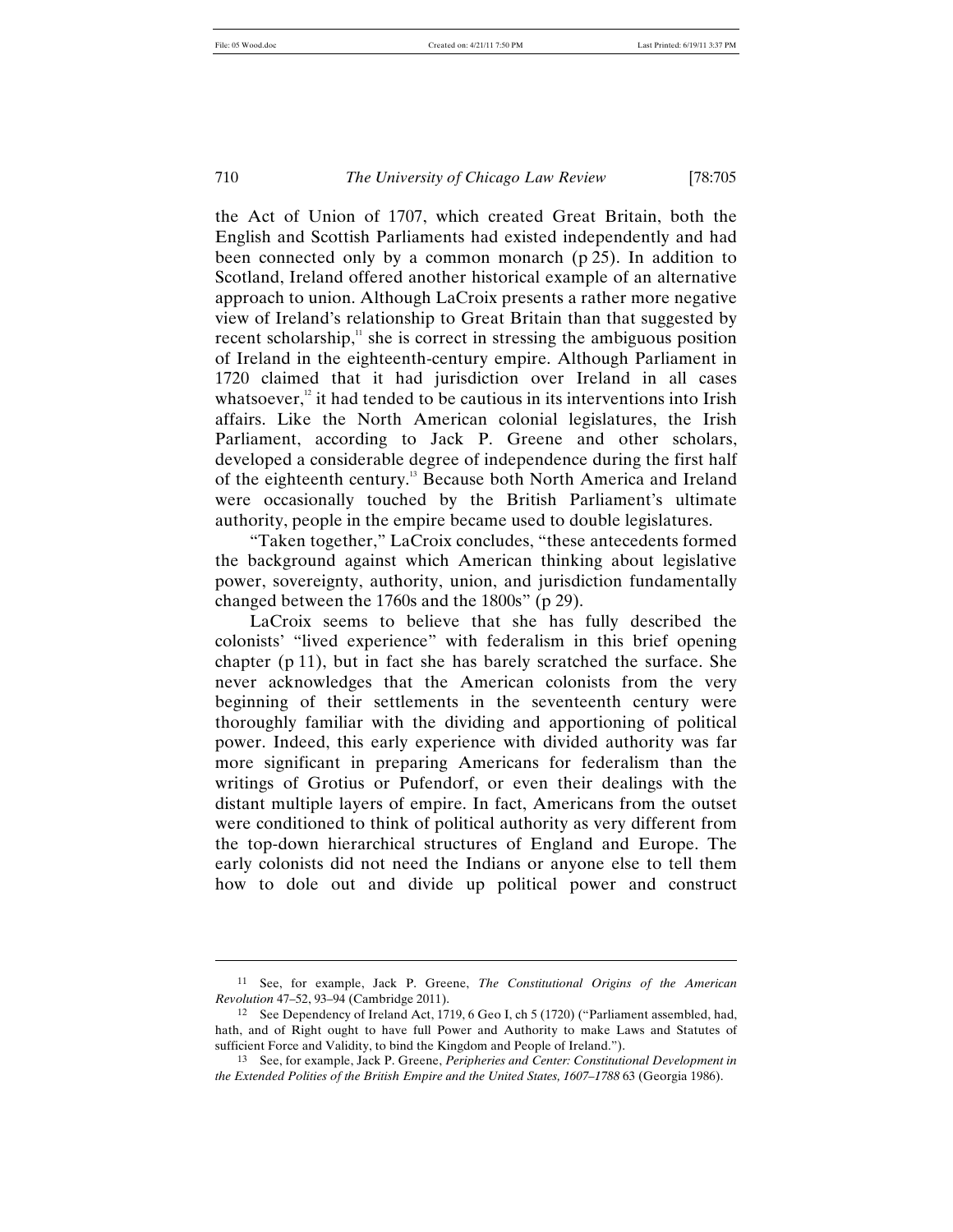l

710 *The University of Chicago Law Review* [78:705

the Act of Union of 1707, which created Great Britain, both the English and Scottish Parliaments had existed independently and had been connected only by a common monarch (p 25). In addition to Scotland, Ireland offered another historical example of an alternative approach to union. Although LaCroix presents a rather more negative view of Ireland's relationship to Great Britain than that suggested by recent scholarship, $\frac{11}{11}$  she is correct in stressing the ambiguous position of Ireland in the eighteenth-century empire. Although Parliament in 1720 claimed that it had jurisdiction over Ireland in all cases whatsoever, $\frac{12}{11}$  it had tended to be cautious in its interventions into Irish affairs. Like the North American colonial legislatures, the Irish Parliament, according to Jack P. Greene and other scholars, developed a considerable degree of independence during the first half of the eighteenth century.13 Because both North America and Ireland were occasionally touched by the British Parliament's ultimate authority, people in the empire became used to double legislatures.

"Taken together," LaCroix concludes, "these antecedents formed the background against which American thinking about legislative power, sovereignty, authority, union, and jurisdiction fundamentally changed between the 1760s and the 1800s" (p 29).

LaCroix seems to believe that she has fully described the colonists' "lived experience" with federalism in this brief opening chapter (p 11), but in fact she has barely scratched the surface. She never acknowledges that the American colonists from the very beginning of their settlements in the seventeenth century were thoroughly familiar with the dividing and apportioning of political power. Indeed, this early experience with divided authority was far more significant in preparing Americans for federalism than the writings of Grotius or Pufendorf, or even their dealings with the distant multiple layers of empire. In fact, Americans from the outset were conditioned to think of political authority as very different from the top-down hierarchical structures of England and Europe. The early colonists did not need the Indians or anyone else to tell them how to dole out and divide up political power and construct

<sup>11</sup> See, for example, Jack P. Greene, *The Constitutional Origins of the American Revolution* 47–52, 93–94 (Cambridge 2011).

<sup>12</sup> See Dependency of Ireland Act, 1719, 6 Geo I, ch 5 (1720) ("Parliament assembled, had, hath, and of Right ought to have full Power and Authority to make Laws and Statutes of sufficient Force and Validity, to bind the Kingdom and People of Ireland.").

<sup>13</sup> See, for example, Jack P. Greene, *Peripheries and Center: Constitutional Development in the Extended Polities of the British Empire and the United States, 1607–1788* 63 (Georgia 1986).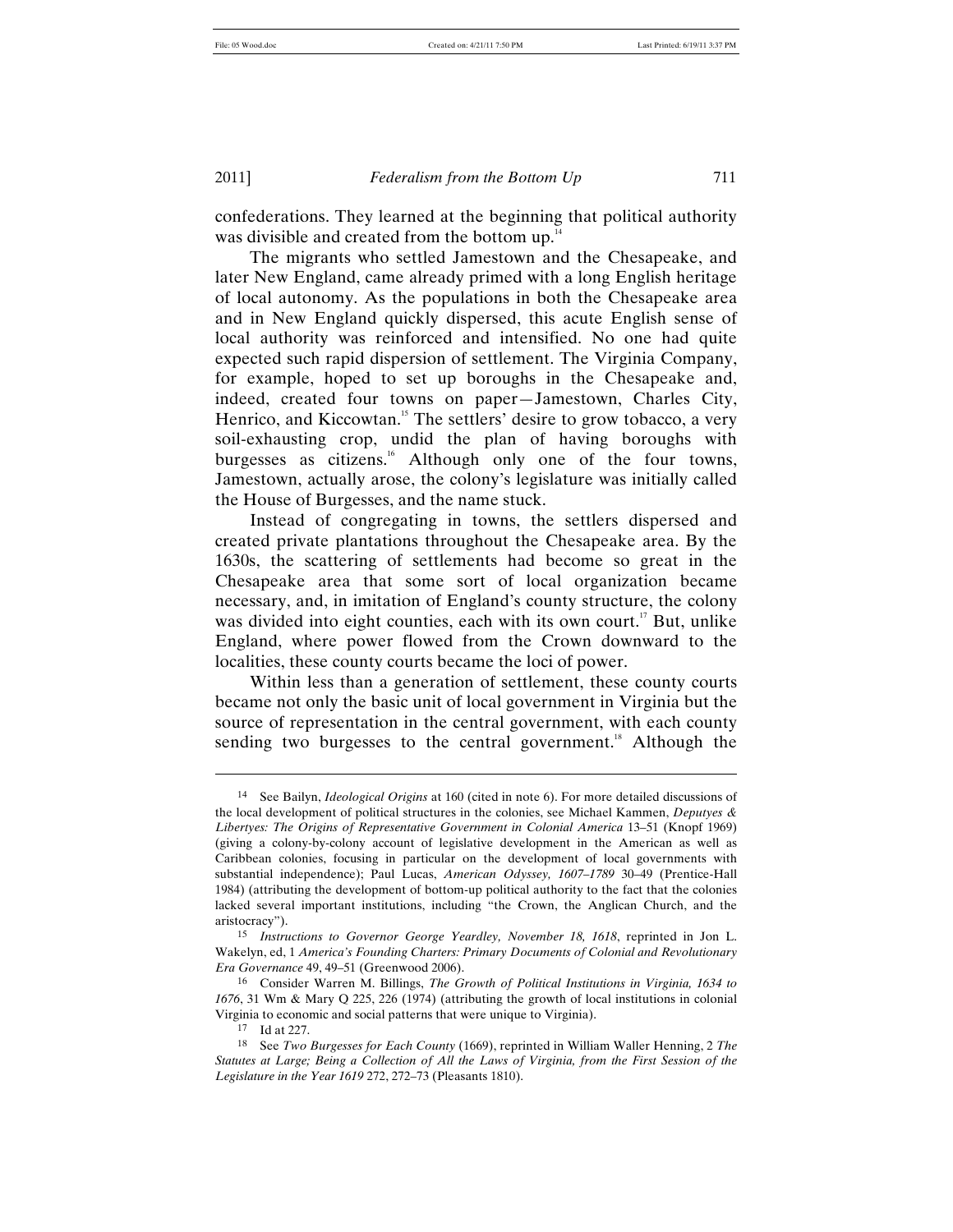confederations. They learned at the beginning that political authority was divisible and created from the bottom  $up<sup>1</sup>$ 

The migrants who settled Jamestown and the Chesapeake, and later New England, came already primed with a long English heritage of local autonomy. As the populations in both the Chesapeake area and in New England quickly dispersed, this acute English sense of local authority was reinforced and intensified. No one had quite expected such rapid dispersion of settlement. The Virginia Company, for example, hoped to set up boroughs in the Chesapeake and, indeed, created four towns on paper—Jamestown, Charles City, Henrico, and Kiccowtan.<sup>15</sup> The settlers' desire to grow tobacco, a very soil-exhausting crop, undid the plan of having boroughs with burgesses as citizens.<sup>16</sup> Although only one of the four towns, Jamestown, actually arose, the colony's legislature was initially called the House of Burgesses, and the name stuck.

Instead of congregating in towns, the settlers dispersed and created private plantations throughout the Chesapeake area. By the 1630s, the scattering of settlements had become so great in the Chesapeake area that some sort of local organization became necessary, and, in imitation of England's county structure, the colony was divided into eight counties, each with its own court.<sup>17</sup> But, unlike England, where power flowed from the Crown downward to the localities, these county courts became the loci of power.

Within less than a generation of settlement, these county courts became not only the basic unit of local government in Virginia but the source of representation in the central government, with each county sending two burgesses to the central government.<sup>18</sup> Although the

<sup>14</sup> See Bailyn, *Ideological Origins* at 160 (cited in note 6). For more detailed discussions of the local development of political structures in the colonies, see Michael Kammen, *Deputyes & Libertyes: The Origins of Representative Government in Colonial America* 13–51 (Knopf 1969) (giving a colony-by-colony account of legislative development in the American as well as Caribbean colonies, focusing in particular on the development of local governments with substantial independence); Paul Lucas, *American Odyssey, 1607–1789* 30–49 (Prentice-Hall 1984) (attributing the development of bottom-up political authority to the fact that the colonies lacked several important institutions, including "the Crown, the Anglican Church, and the aristocracy").

<sup>15</sup> *Instructions to Governor George Yeardley, November 18, 1618*, reprinted in Jon L. Wakelyn, ed, 1 *America's Founding Charters: Primary Documents of Colonial and Revolutionary Era Governance* 49, 49–51 (Greenwood 2006).

<sup>16</sup> Consider Warren M. Billings, *The Growth of Political Institutions in Virginia, 1634 to 1676*, 31 Wm & Mary Q 225, 226 (1974) (attributing the growth of local institutions in colonial Virginia to economic and social patterns that were unique to Virginia).

<sup>17</sup> Id at 227.

<sup>18</sup> See *Two Burgesses for Each County* (1669), reprinted in William Waller Henning, 2 *The Statutes at Large; Being a Collection of All the Laws of Virginia, from the First Session of the Legislature in the Year 1619* 272, 272–73 (Pleasants 1810).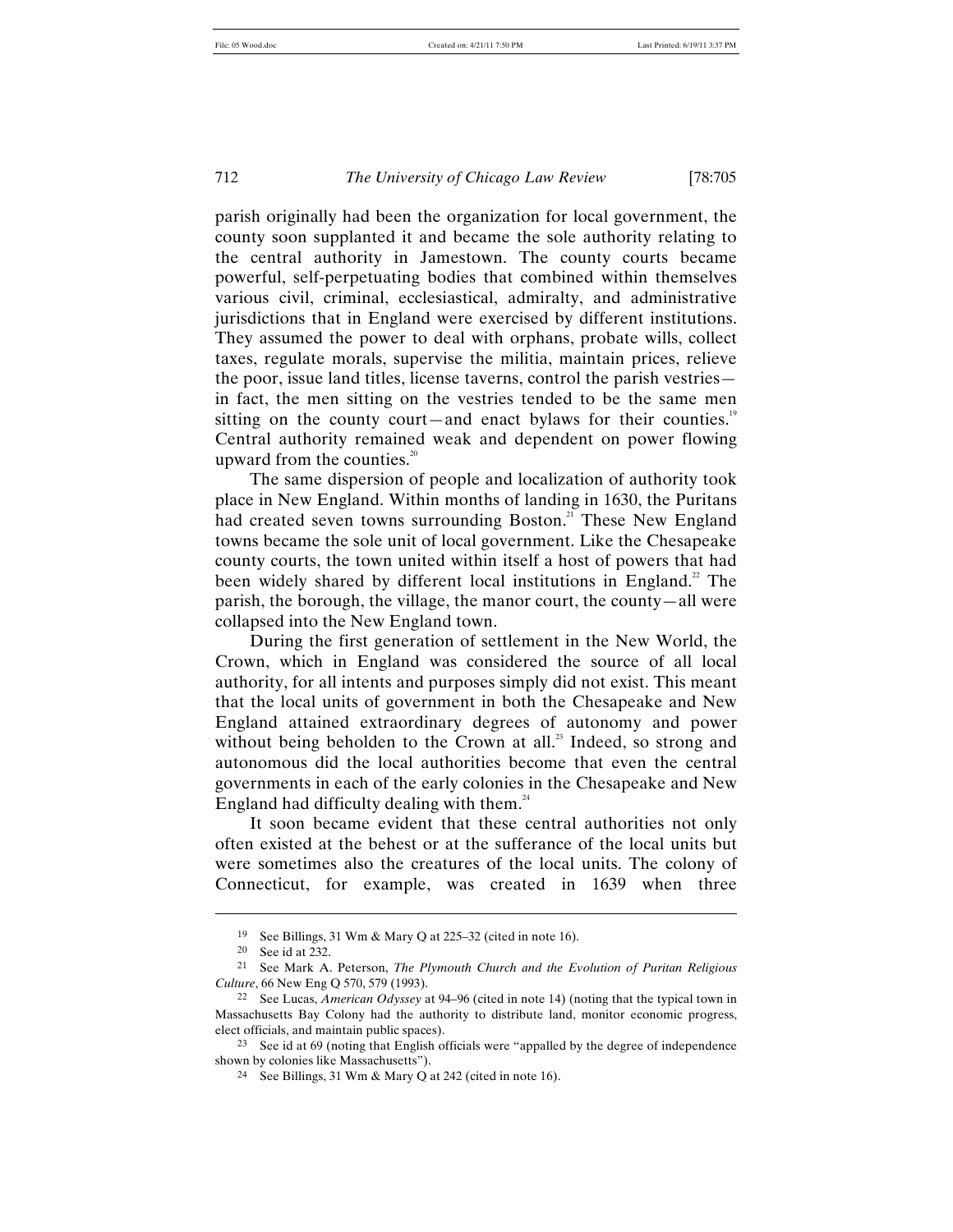parish originally had been the organization for local government, the county soon supplanted it and became the sole authority relating to the central authority in Jamestown. The county courts became powerful, self-perpetuating bodies that combined within themselves various civil, criminal, ecclesiastical, admiralty, and administrative jurisdictions that in England were exercised by different institutions. They assumed the power to deal with orphans, probate wills, collect taxes, regulate morals, supervise the militia, maintain prices, relieve the poor, issue land titles, license taverns, control the parish vestries in fact, the men sitting on the vestries tended to be the same men sitting on the county court—and enact bylaws for their counties. $19$ Central authority remained weak and dependent on power flowing upward from the counties. $20$ 

The same dispersion of people and localization of authority took place in New England. Within months of landing in 1630, the Puritans had created seven towns surrounding Boston.<sup>21</sup> These New England towns became the sole unit of local government. Like the Chesapeake county courts, the town united within itself a host of powers that had been widely shared by different local institutions in England.<sup>22</sup> The parish, the borough, the village, the manor court, the county—all were collapsed into the New England town.

During the first generation of settlement in the New World, the Crown, which in England was considered the source of all local authority, for all intents and purposes simply did not exist. This meant that the local units of government in both the Chesapeake and New England attained extraordinary degrees of autonomy and power without being beholden to the Crown at all. $^{23}$  Indeed, so strong and autonomous did the local authorities become that even the central governments in each of the early colonies in the Chesapeake and New England had difficulty dealing with them. $24$ 

It soon became evident that these central authorities not only often existed at the behest or at the sufferance of the local units but were sometimes also the creatures of the local units. The colony of Connecticut, for example, was created in 1639 when three

<sup>19</sup> See Billings, 31 Wm & Mary Q at 225–32 (cited in note 16).

<sup>20</sup> See id at 232.

<sup>21</sup> See Mark A. Peterson, *The Plymouth Church and the Evolution of Puritan Religious Culture*, 66 New Eng Q 570, 579 (1993).

<sup>22</sup> See Lucas, *American Odyssey* at 94–96 (cited in note 14) (noting that the typical town in Massachusetts Bay Colony had the authority to distribute land, monitor economic progress, elect officials, and maintain public spaces).

<sup>23</sup> See id at 69 (noting that English officials were "appalled by the degree of independence shown by colonies like Massachusetts").

<sup>&</sup>lt;sup>24</sup> See Billings, 31 Wm & Mary Q at 242 (cited in note 16).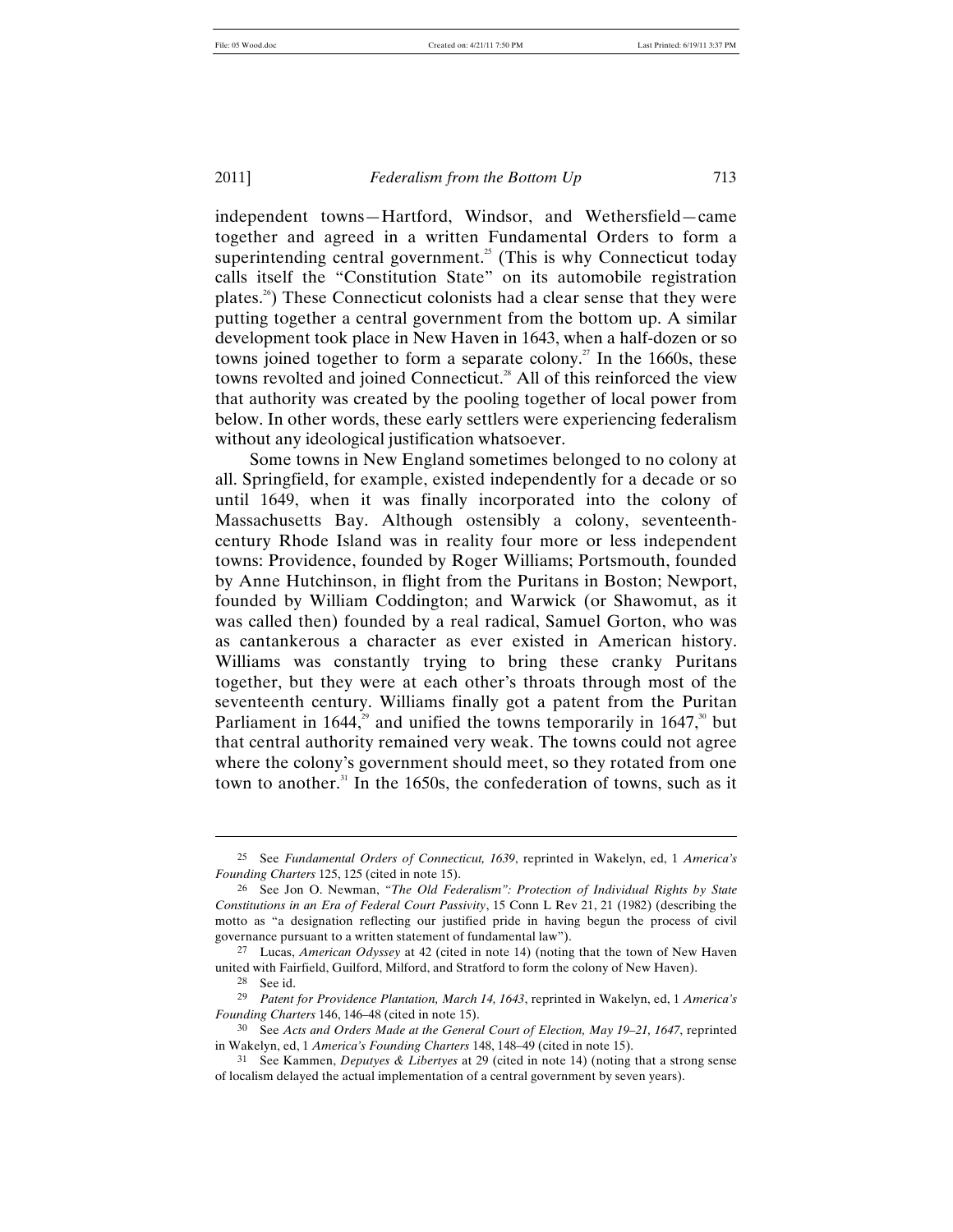independent towns—Hartford, Windsor, and Wethersfield—came together and agreed in a written Fundamental Orders to form a superintending central government.<sup>25</sup> (This is why Connecticut today calls itself the "Constitution State" on its automobile registration plates. 26) These Connecticut colonists had a clear sense that they were putting together a central government from the bottom up. A similar development took place in New Haven in 1643, when a half-dozen or so towns joined together to form a separate colony.<sup>27</sup> In the 1660s, these towns revolted and joined Connecticut.<sup>28</sup> All of this reinforced the view that authority was created by the pooling together of local power from below. In other words, these early settlers were experiencing federalism without any ideological justification whatsoever.

Some towns in New England sometimes belonged to no colony at all. Springfield, for example, existed independently for a decade or so until 1649, when it was finally incorporated into the colony of Massachusetts Bay. Although ostensibly a colony, seventeenthcentury Rhode Island was in reality four more or less independent towns: Providence, founded by Roger Williams; Portsmouth, founded by Anne Hutchinson, in flight from the Puritans in Boston; Newport, founded by William Coddington; and Warwick (or Shawomut, as it was called then) founded by a real radical, Samuel Gorton, who was as cantankerous a character as ever existed in American history. Williams was constantly trying to bring these cranky Puritans together, but they were at each other's throats through most of the seventeenth century. Williams finally got a patent from the Puritan Parliament in 1644,<sup>29</sup> and unified the towns temporarily in 1647,<sup>30</sup> but that central authority remained very weak. The towns could not agree where the colony's government should meet, so they rotated from one town to another. $31$  In the 1650s, the confederation of towns, such as it

<sup>25</sup> See *Fundamental Orders of Connecticut, 1639*, reprinted in Wakelyn, ed, 1 *America's Founding Charters* 125, 125 (cited in note 15).

<sup>26</sup> See Jon O. Newman, *"The Old Federalism": Protection of Individual Rights by State Constitutions in an Era of Federal Court Passivity*, 15 Conn L Rev 21, 21 (1982) (describing the motto as "a designation reflecting our justified pride in having begun the process of civil governance pursuant to a written statement of fundamental law").

<sup>27</sup> Lucas, *American Odyssey* at 42 (cited in note 14) (noting that the town of New Haven united with Fairfield, Guilford, Milford, and Stratford to form the colony of New Haven).

<sup>28</sup> See id.

<sup>29</sup> *Patent for Providence Plantation, March 14, 1643*, reprinted in Wakelyn, ed, 1 *America's Founding Charters* 146, 146–48 (cited in note 15).

<sup>30</sup> See *Acts and Orders Made at the General Court of Election, May 19–21, 1647*, reprinted in Wakelyn, ed, 1 *America's Founding Charters* 148, 148–49 (cited in note 15).

<sup>31</sup> See Kammen, *Deputyes & Libertyes* at 29 (cited in note 14) (noting that a strong sense of localism delayed the actual implementation of a central government by seven years).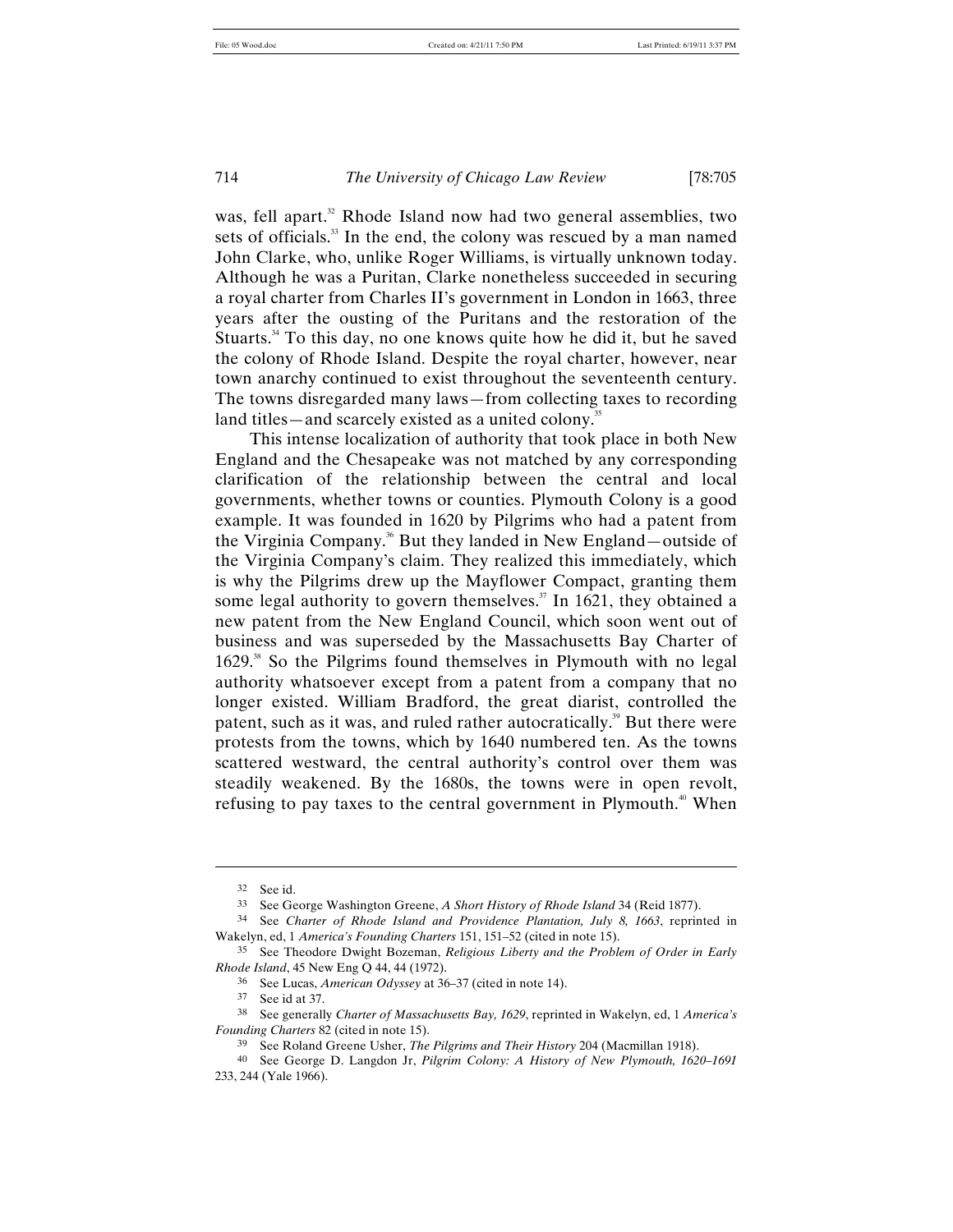was, fell apart.<sup>32</sup> Rhode Island now had two general assemblies, two sets of officials.<sup>33</sup> In the end, the colony was rescued by a man named John Clarke, who, unlike Roger Williams, is virtually unknown today. Although he was a Puritan, Clarke nonetheless succeeded in securing a royal charter from Charles II's government in London in 1663, three years after the ousting of the Puritans and the restoration of the Stuarts.<sup>34</sup> To this day, no one knows quite how he did it, but he saved the colony of Rhode Island. Despite the royal charter, however, near town anarchy continued to exist throughout the seventeenth century. The towns disregarded many laws—from collecting taxes to recording land titles—and scarcely existed as a united colony.<sup>35</sup>

This intense localization of authority that took place in both New England and the Chesapeake was not matched by any corresponding clarification of the relationship between the central and local governments, whether towns or counties. Plymouth Colony is a good example. It was founded in 1620 by Pilgrims who had a patent from the Virginia Company.<sup>36</sup> But they landed in New England—outside of the Virginia Company's claim. They realized this immediately, which is why the Pilgrims drew up the Mayflower Compact, granting them some legal authority to govern themselves.<sup>37</sup> In 1621, they obtained a new patent from the New England Council, which soon went out of business and was superseded by the Massachusetts Bay Charter of 1629.38 So the Pilgrims found themselves in Plymouth with no legal authority whatsoever except from a patent from a company that no longer existed. William Bradford, the great diarist, controlled the patent, such as it was, and ruled rather autocratically.<sup>39</sup> But there were protests from the towns, which by 1640 numbered ten. As the towns scattered westward, the central authority's control over them was steadily weakened. By the 1680s, the towns were in open revolt, refusing to pay taxes to the central government in Plymouth.<sup>40</sup> When

<sup>32</sup> See id.

<sup>33</sup> See George Washington Greene, *A Short History of Rhode Island* 34 (Reid 1877).

<sup>34</sup> See *Charter of Rhode Island and Providence Plantation, July 8, 1663*, reprinted in Wakelyn, ed, 1 *America's Founding Charters* 151, 151–52 (cited in note 15).

<sup>35</sup> See Theodore Dwight Bozeman, *Religious Liberty and the Problem of Order in Early Rhode Island*, 45 New Eng Q 44, 44 (1972).

<sup>36</sup> See Lucas, *American Odyssey* at 36–37 (cited in note 14).

<sup>37</sup> See id at 37.

<sup>38</sup> See generally *Charter of Massachusetts Bay, 1629*, reprinted in Wakelyn, ed, 1 *America's Founding Charters* 82 (cited in note 15).

<sup>39</sup> See Roland Greene Usher, *The Pilgrims and Their History* 204 (Macmillan 1918).

<sup>40</sup> See George D. Langdon Jr, *Pilgrim Colony: A History of New Plymouth, 1620–1691* 233, 244 (Yale 1966).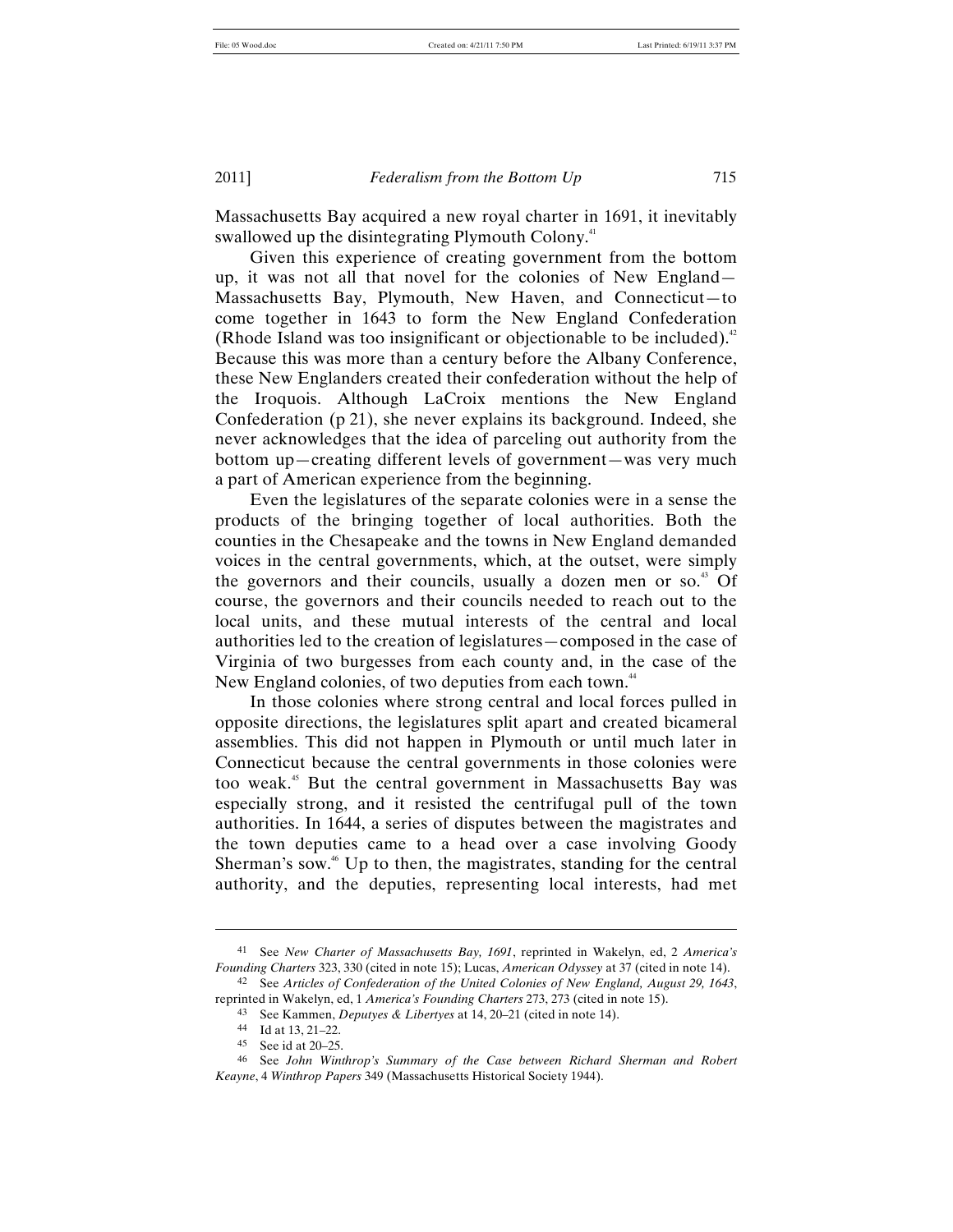Massachusetts Bay acquired a new royal charter in 1691, it inevitably swallowed up the disintegrating Plymouth Colony.<sup>41</sup>

Given this experience of creating government from the bottom up, it was not all that novel for the colonies of New England— Massachusetts Bay, Plymouth, New Haven, and Connecticut—to come together in 1643 to form the New England Confederation (Rhode Island was too insignificant or objectionable to be included). $42$ Because this was more than a century before the Albany Conference, these New Englanders created their confederation without the help of the Iroquois. Although LaCroix mentions the New England Confederation (p 21), she never explains its background. Indeed, she never acknowledges that the idea of parceling out authority from the bottom up—creating different levels of government—was very much a part of American experience from the beginning.

Even the legislatures of the separate colonies were in a sense the products of the bringing together of local authorities. Both the counties in the Chesapeake and the towns in New England demanded voices in the central governments, which, at the outset, were simply the governors and their councils, usually a dozen men or so.<sup>43</sup> Of course, the governors and their councils needed to reach out to the local units, and these mutual interests of the central and local authorities led to the creation of legislatures—composed in the case of Virginia of two burgesses from each county and, in the case of the New England colonies, of two deputies from each town.<sup>44</sup>

In those colonies where strong central and local forces pulled in opposite directions, the legislatures split apart and created bicameral assemblies. This did not happen in Plymouth or until much later in Connecticut because the central governments in those colonies were too weak.<sup>45</sup> But the central government in Massachusetts Bay was especially strong, and it resisted the centrifugal pull of the town authorities. In 1644, a series of disputes between the magistrates and the town deputies came to a head over a case involving Goody Sherman's sow. $46$  Up to then, the magistrates, standing for the central authority, and the deputies, representing local interests, had met

<sup>41</sup> See *New Charter of Massachusetts Bay, 1691*, reprinted in Wakelyn, ed, 2 *America's Founding Charters* 323, 330 (cited in note 15); Lucas, *American Odyssey* at 37 (cited in note 14). 42 See *Articles of Confederation of the United Colonies of New England, August 29, 1643*,

reprinted in Wakelyn, ed, 1 *America's Founding Charters* 273, 273 (cited in note 15).

<sup>43</sup> See Kammen, *Deputyes & Libertyes* at 14, 20–21 (cited in note 14).

<sup>44</sup> Id at  $13, 21-22$ .<br>45 See id at 20, 25

See id at 20–25.

<sup>46</sup> See *John Winthrop's Summary of the Case between Richard Sherman and Robert Keayne*, 4 *Winthrop Papers* 349 (Massachusetts Historical Society 1944).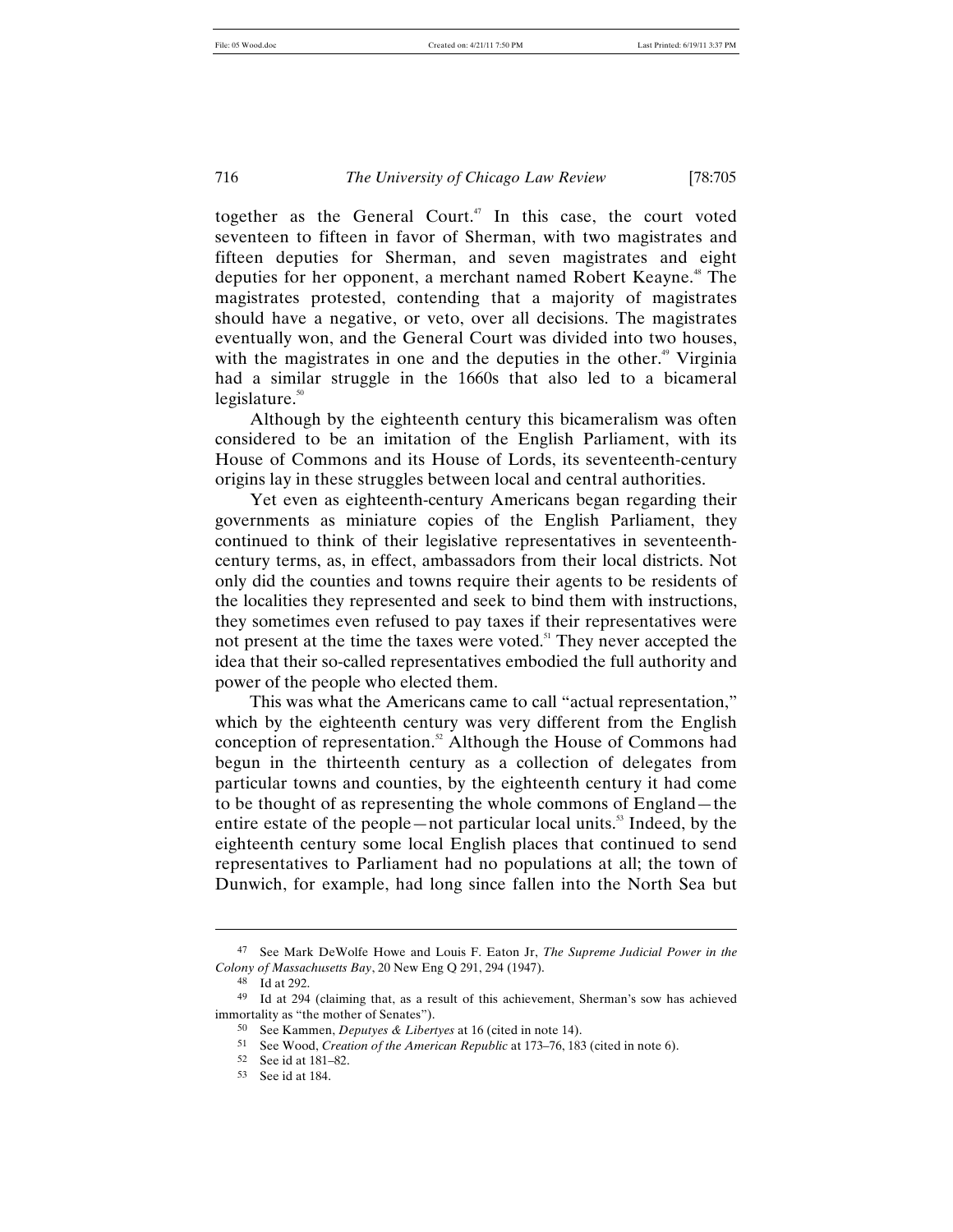together as the General Court. $47$  In this case, the court voted seventeen to fifteen in favor of Sherman, with two magistrates and fifteen deputies for Sherman, and seven magistrates and eight deputies for her opponent, a merchant named Robert Keayne.<sup>48</sup> The magistrates protested, contending that a majority of magistrates should have a negative, or veto, over all decisions. The magistrates eventually won, and the General Court was divided into two houses, with the magistrates in one and the deputies in the other.<sup> $49$ </sup> Virginia had a similar struggle in the 1660s that also led to a bicameral legislature. $50$ 

Although by the eighteenth century this bicameralism was often considered to be an imitation of the English Parliament, with its House of Commons and its House of Lords, its seventeenth-century origins lay in these struggles between local and central authorities.

Yet even as eighteenth-century Americans began regarding their governments as miniature copies of the English Parliament, they continued to think of their legislative representatives in seventeenthcentury terms, as, in effect, ambassadors from their local districts. Not only did the counties and towns require their agents to be residents of the localities they represented and seek to bind them with instructions, they sometimes even refused to pay taxes if their representatives were not present at the time the taxes were voted.<sup>51</sup> They never accepted the idea that their so-called representatives embodied the full authority and power of the people who elected them.

This was what the Americans came to call "actual representation," which by the eighteenth century was very different from the English conception of representation.<sup>52</sup> Although the House of Commons had begun in the thirteenth century as a collection of delegates from particular towns and counties, by the eighteenth century it had come to be thought of as representing the whole commons of England—the entire estate of the people—not particular local units. $53$  Indeed, by the eighteenth century some local English places that continued to send representatives to Parliament had no populations at all; the town of Dunwich, for example, had long since fallen into the North Sea but

<sup>47</sup> See Mark DeWolfe Howe and Louis F. Eaton Jr, *The Supreme Judicial Power in the Colony of Massachusetts Bay*, 20 New Eng Q 291, 294 (1947).

<sup>48</sup> Id at 292.

<sup>49</sup> Id at 294 (claiming that, as a result of this achievement, Sherman's sow has achieved immortality as "the mother of Senates").

<sup>50</sup> See Kammen, *Deputyes & Libertyes* at 16 (cited in note 14).

<sup>51</sup> See Wood, *Creation of the American Republic* at 173–76, 183 (cited in note 6).

<sup>52</sup> See id at 181–82.

<sup>53</sup> See id at 184.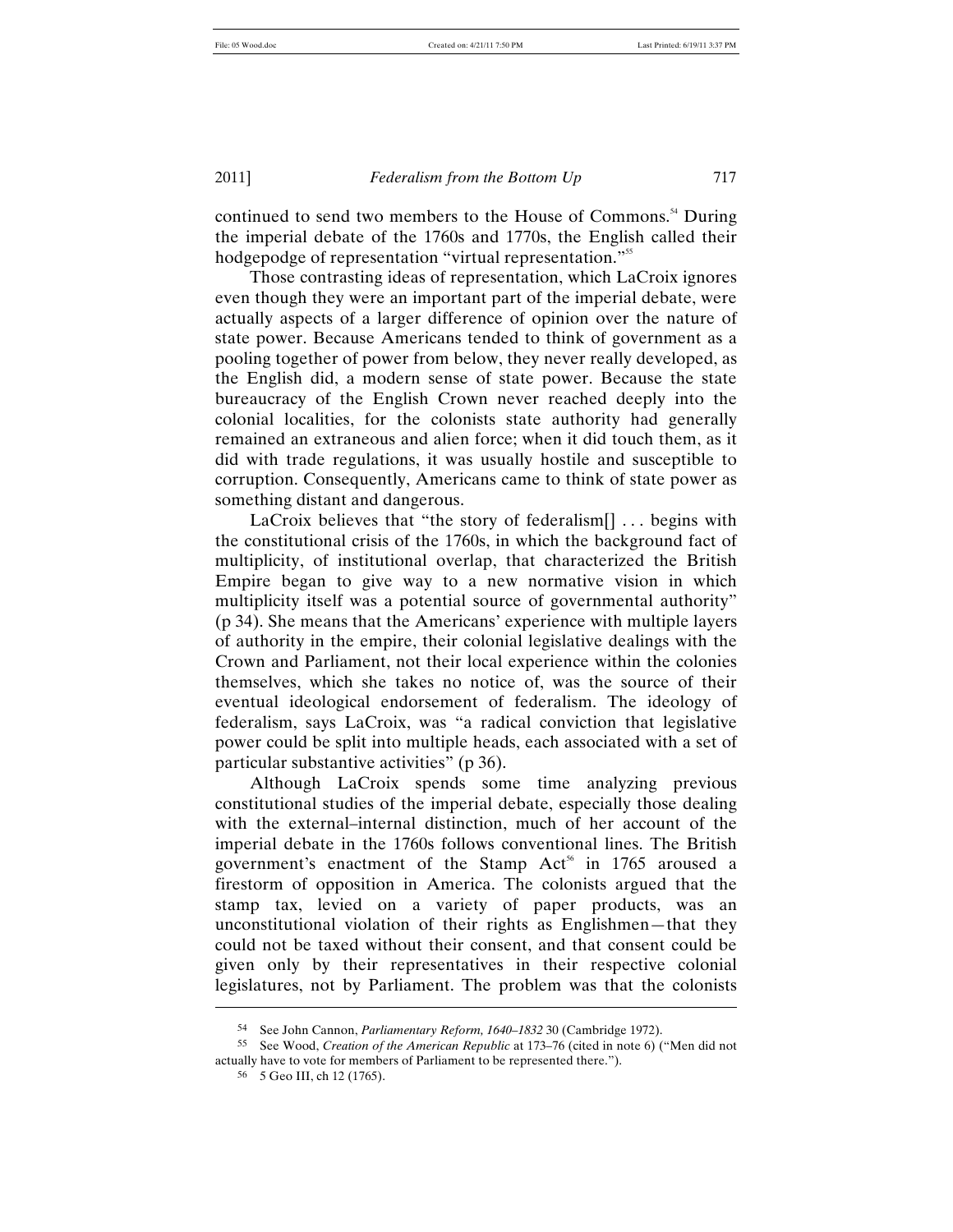continued to send two members to the House of Commons.<sup>54</sup> During the imperial debate of the 1760s and 1770s, the English called their hodgepodge of representation "virtual representation."<sup>55</sup>

Those contrasting ideas of representation, which LaCroix ignores even though they were an important part of the imperial debate, were actually aspects of a larger difference of opinion over the nature of state power. Because Americans tended to think of government as a pooling together of power from below, they never really developed, as the English did, a modern sense of state power. Because the state bureaucracy of the English Crown never reached deeply into the colonial localities, for the colonists state authority had generally remained an extraneous and alien force; when it did touch them, as it did with trade regulations, it was usually hostile and susceptible to corruption. Consequently, Americans came to think of state power as something distant and dangerous.

LaCroix believes that "the story of federalism<sup>[]</sup> ... begins with the constitutional crisis of the 1760s, in which the background fact of multiplicity, of institutional overlap, that characterized the British Empire began to give way to a new normative vision in which multiplicity itself was a potential source of governmental authority" (p 34). She means that the Americans' experience with multiple layers of authority in the empire, their colonial legislative dealings with the Crown and Parliament, not their local experience within the colonies themselves, which she takes no notice of, was the source of their eventual ideological endorsement of federalism. The ideology of federalism, says LaCroix, was "a radical conviction that legislative power could be split into multiple heads, each associated with a set of particular substantive activities" (p 36).

Although LaCroix spends some time analyzing previous constitutional studies of the imperial debate, especially those dealing with the external–internal distinction, much of her account of the imperial debate in the 1760s follows conventional lines. The British government's enactment of the Stamp  $Act^5$  in 1765 aroused a firestorm of opposition in America. The colonists argued that the stamp tax, levied on a variety of paper products, was an unconstitutional violation of their rights as Englishmen—that they could not be taxed without their consent, and that consent could be given only by their representatives in their respective colonial legislatures, not by Parliament. The problem was that the colonists

<sup>54</sup> See John Cannon, *Parliamentary Reform, 1640–1832* 30 (Cambridge 1972).

<sup>55</sup> See Wood, *Creation of the American Republic* at 173–76 (cited in note 6) ("Men did not actually have to vote for members of Parliament to be represented there.").

<sup>56</sup> 5 Geo III, ch 12 (1765).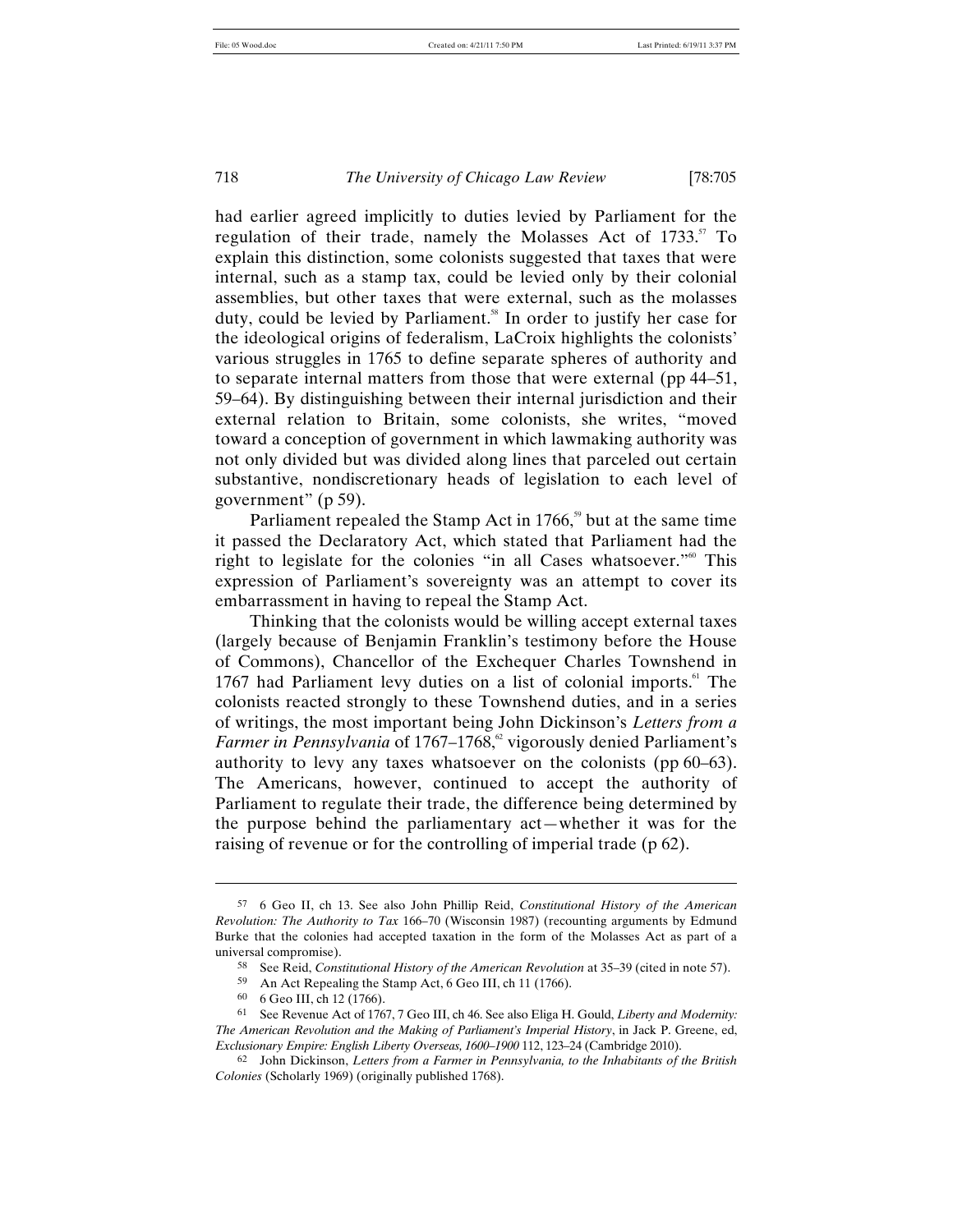had earlier agreed implicitly to duties levied by Parliament for the regulation of their trade, namely the Molasses Act of  $1733$ .<sup>57</sup> To explain this distinction, some colonists suggested that taxes that were internal, such as a stamp tax, could be levied only by their colonial assemblies, but other taxes that were external, such as the molasses duty, could be levied by Parliament.<sup>58</sup> In order to justify her case for the ideological origins of federalism, LaCroix highlights the colonists' various struggles in 1765 to define separate spheres of authority and to separate internal matters from those that were external (pp 44–51, 59–64). By distinguishing between their internal jurisdiction and their external relation to Britain, some colonists, she writes, "moved toward a conception of government in which lawmaking authority was not only divided but was divided along lines that parceled out certain substantive, nondiscretionary heads of legislation to each level of government" (p 59).

Parliament repealed the Stamp Act in  $1766$ ,<sup>59</sup> but at the same time it passed the Declaratory Act, which stated that Parliament had the right to legislate for the colonies "in all Cases whatsoever."<sup>60</sup> This expression of Parliament's sovereignty was an attempt to cover its embarrassment in having to repeal the Stamp Act.

Thinking that the colonists would be willing accept external taxes (largely because of Benjamin Franklin's testimony before the House of Commons), Chancellor of the Exchequer Charles Townshend in 1767 had Parliament levy duties on a list of colonial imports. $61$  The colonists reacted strongly to these Townshend duties, and in a series of writings, the most important being John Dickinson's *Letters from a Farmer in Pennsylvania* of 1767–1768,<sup> $\alpha$ </sup> vigorously denied Parliament's authority to levy any taxes whatsoever on the colonists (pp 60–63). The Americans, however, continued to accept the authority of Parliament to regulate their trade, the difference being determined by the purpose behind the parliamentary act—whether it was for the raising of revenue or for the controlling of imperial trade (p 62).

<sup>57</sup> 6 Geo II, ch 13. See also John Phillip Reid, *Constitutional History of the American Revolution: The Authority to Tax* 166–70 (Wisconsin 1987) (recounting arguments by Edmund Burke that the colonies had accepted taxation in the form of the Molasses Act as part of a universal compromise).

<sup>58</sup> See Reid, *Constitutional History of the American Revolution* at 35–39 (cited in note 57).

<sup>59</sup> An Act Repealing the Stamp Act, 6 Geo III, ch 11 (1766).

<sup>60</sup> 6 Geo III, ch 12 (1766).

<sup>61</sup> See Revenue Act of 1767, 7 Geo III, ch 46. See also Eliga H. Gould, *Liberty and Modernity: The American Revolution and the Making of Parliament's Imperial History*, in Jack P. Greene, ed, *Exclusionary Empire: English Liberty Overseas, 1600–1900* 112, 123–24 (Cambridge 2010).

<sup>62</sup> John Dickinson, *Letters from a Farmer in Pennsylvania, to the Inhabitants of the British Colonies* (Scholarly 1969) (originally published 1768).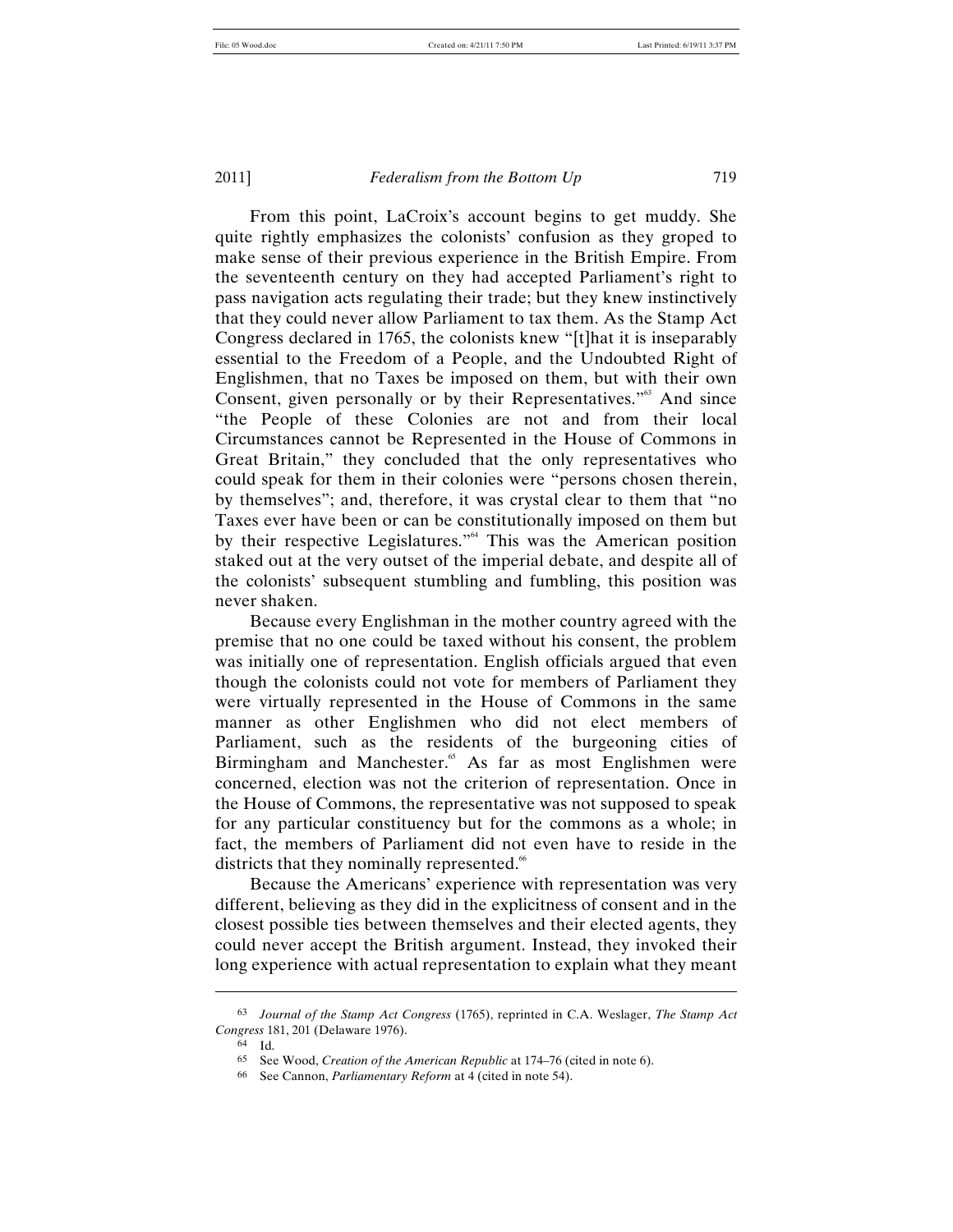From this point, LaCroix's account begins to get muddy. She quite rightly emphasizes the colonists' confusion as they groped to make sense of their previous experience in the British Empire. From the seventeenth century on they had accepted Parliament's right to pass navigation acts regulating their trade; but they knew instinctively that they could never allow Parliament to tax them. As the Stamp Act Congress declared in 1765, the colonists knew "[t]hat it is inseparably essential to the Freedom of a People, and the Undoubted Right of Englishmen, that no Taxes be imposed on them, but with their own Consent, given personally or by their Representatives."<sup>63</sup> And since "the People of these Colonies are not and from their local Circumstances cannot be Represented in the House of Commons in Great Britain," they concluded that the only representatives who could speak for them in their colonies were "persons chosen therein, by themselves"; and, therefore, it was crystal clear to them that "no Taxes ever have been or can be constitutionally imposed on them but by their respective Legislatures."<sup>64</sup> This was the American position staked out at the very outset of the imperial debate, and despite all of the colonists' subsequent stumbling and fumbling, this position was never shaken.

Because every Englishman in the mother country agreed with the premise that no one could be taxed without his consent, the problem was initially one of representation. English officials argued that even though the colonists could not vote for members of Parliament they were virtually represented in the House of Commons in the same manner as other Englishmen who did not elect members of Parliament, such as the residents of the burgeoning cities of Birmingham and Manchester.<sup>65</sup> As far as most Englishmen were concerned, election was not the criterion of representation. Once in the House of Commons, the representative was not supposed to speak for any particular constituency but for the commons as a whole; in fact, the members of Parliament did not even have to reside in the districts that they nominally represented.<sup>66</sup>

Because the Americans' experience with representation was very different, believing as they did in the explicitness of consent and in the closest possible ties between themselves and their elected agents, they could never accept the British argument. Instead, they invoked their long experience with actual representation to explain what they meant

 $\overline{a}$ 

<sup>63</sup> *Journal of the Stamp Act Congress* (1765), reprinted in C.A. Weslager, *The Stamp Act Congress* 181, 201 (Delaware 1976).

<sup>64</sup> Id.

<sup>65</sup> See Wood, *Creation of the American Republic* at 174–76 (cited in note 6).

<sup>66</sup> See Cannon, *Parliamentary Reform* at 4 (cited in note 54).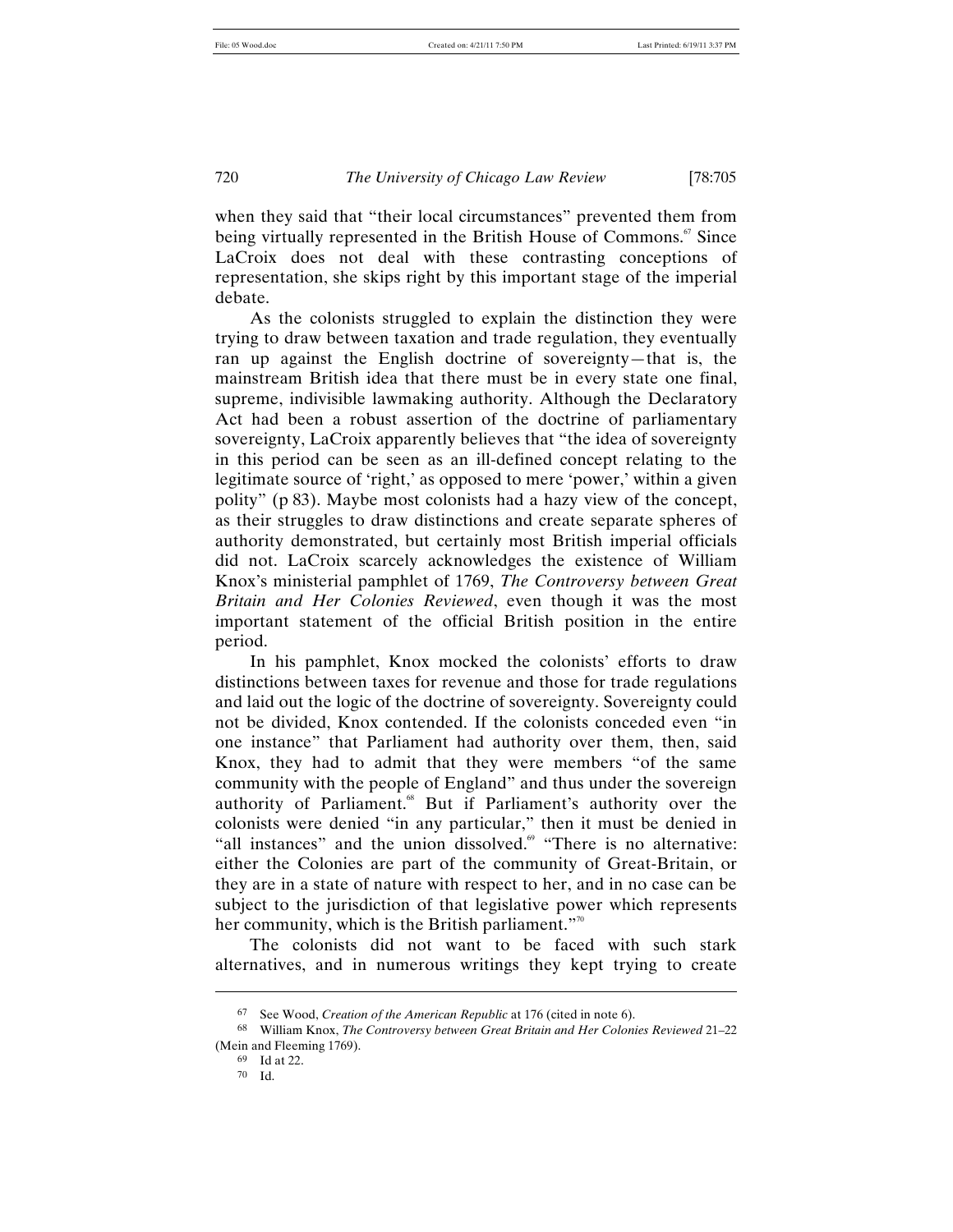when they said that "their local circumstances" prevented them from being virtually represented in the British House of Commons.<sup>67</sup> Since LaCroix does not deal with these contrasting conceptions of representation, she skips right by this important stage of the imperial debate.

As the colonists struggled to explain the distinction they were trying to draw between taxation and trade regulation, they eventually ran up against the English doctrine of sovereignty—that is, the mainstream British idea that there must be in every state one final, supreme, indivisible lawmaking authority. Although the Declaratory Act had been a robust assertion of the doctrine of parliamentary sovereignty, LaCroix apparently believes that "the idea of sovereignty in this period can be seen as an ill-defined concept relating to the legitimate source of 'right,' as opposed to mere 'power,' within a given polity" (p 83). Maybe most colonists had a hazy view of the concept, as their struggles to draw distinctions and create separate spheres of authority demonstrated, but certainly most British imperial officials did not. LaCroix scarcely acknowledges the existence of William Knox's ministerial pamphlet of 1769, *The Controversy between Great Britain and Her Colonies Reviewed*, even though it was the most important statement of the official British position in the entire period.

In his pamphlet, Knox mocked the colonists' efforts to draw distinctions between taxes for revenue and those for trade regulations and laid out the logic of the doctrine of sovereignty. Sovereignty could not be divided, Knox contended. If the colonists conceded even "in one instance" that Parliament had authority over them, then, said Knox, they had to admit that they were members "of the same community with the people of England" and thus under the sovereign authority of Parliament.<sup>68</sup> But if Parliament's authority over the colonists were denied "in any particular," then it must be denied in "all instances" and the union dissolved.<sup>69</sup> "There is no alternative: either the Colonies are part of the community of Great-Britain, or they are in a state of nature with respect to her, and in no case can be subject to the jurisdiction of that legislative power which represents her community, which is the British parliament."<sup>70</sup>

The colonists did not want to be faced with such stark alternatives, and in numerous writings they kept trying to create

 $\overline{a}$ 

<sup>67</sup> See Wood, *Creation of the American Republic* at 176 (cited in note 6).

<sup>68</sup> William Knox, *The Controversy between Great Britain and Her Colonies Reviewed* 21–22 (Mein and Fleeming 1769).

<sup>69</sup> Id at 22.

<sup>70</sup> Id.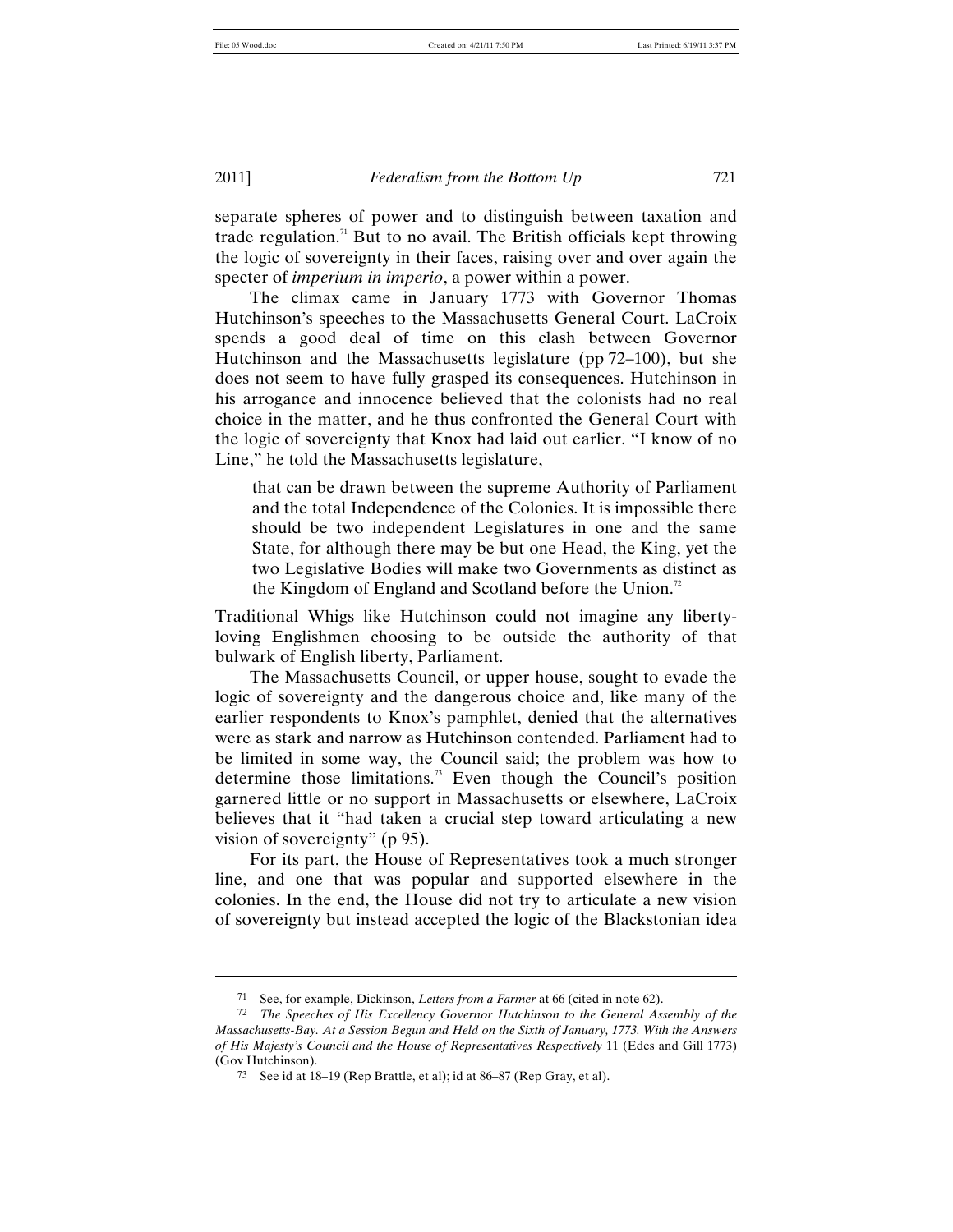l

#### 2011] *Federalism from the Bottom Up* 721

separate spheres of power and to distinguish between taxation and trade regulation.<sup>71</sup> But to no avail. The British officials kept throwing the logic of sovereignty in their faces, raising over and over again the specter of *imperium in imperio*, a power within a power.

The climax came in January 1773 with Governor Thomas Hutchinson's speeches to the Massachusetts General Court. LaCroix spends a good deal of time on this clash between Governor Hutchinson and the Massachusetts legislature (pp 72–100), but she does not seem to have fully grasped its consequences. Hutchinson in his arrogance and innocence believed that the colonists had no real choice in the matter, and he thus confronted the General Court with the logic of sovereignty that Knox had laid out earlier. "I know of no Line," he told the Massachusetts legislature,

that can be drawn between the supreme Authority of Parliament and the total Independence of the Colonies. It is impossible there should be two independent Legislatures in one and the same State, for although there may be but one Head, the King, yet the two Legislative Bodies will make two Governments as distinct as the Kingdom of England and Scotland before the Union.<sup>72</sup>

Traditional Whigs like Hutchinson could not imagine any libertyloving Englishmen choosing to be outside the authority of that bulwark of English liberty, Parliament.

The Massachusetts Council, or upper house, sought to evade the logic of sovereignty and the dangerous choice and, like many of the earlier respondents to Knox's pamphlet, denied that the alternatives were as stark and narrow as Hutchinson contended. Parliament had to be limited in some way, the Council said; the problem was how to determine those limitations.<sup>73</sup> Even though the Council's position garnered little or no support in Massachusetts or elsewhere, LaCroix believes that it "had taken a crucial step toward articulating a new vision of sovereignty" (p 95).

For its part, the House of Representatives took a much stronger line, and one that was popular and supported elsewhere in the colonies. In the end, the House did not try to articulate a new vision of sovereignty but instead accepted the logic of the Blackstonian idea

<sup>71</sup> See, for example, Dickinson, *Letters from a Farmer* at 66 (cited in note 62).

<sup>72</sup> *The Speeches of His Excellency Governor Hutchinson to the General Assembly of the Massachusetts-Bay. At a Session Begun and Held on the Sixth of January, 1773. With the Answers of His Majesty's Council and the House of Representatives Respectively* 11 (Edes and Gill 1773) (Gov Hutchinson).

<sup>73</sup> See id at  $18-19$  (Rep Brattle, et al); id at  $86-87$  (Rep Gray, et al).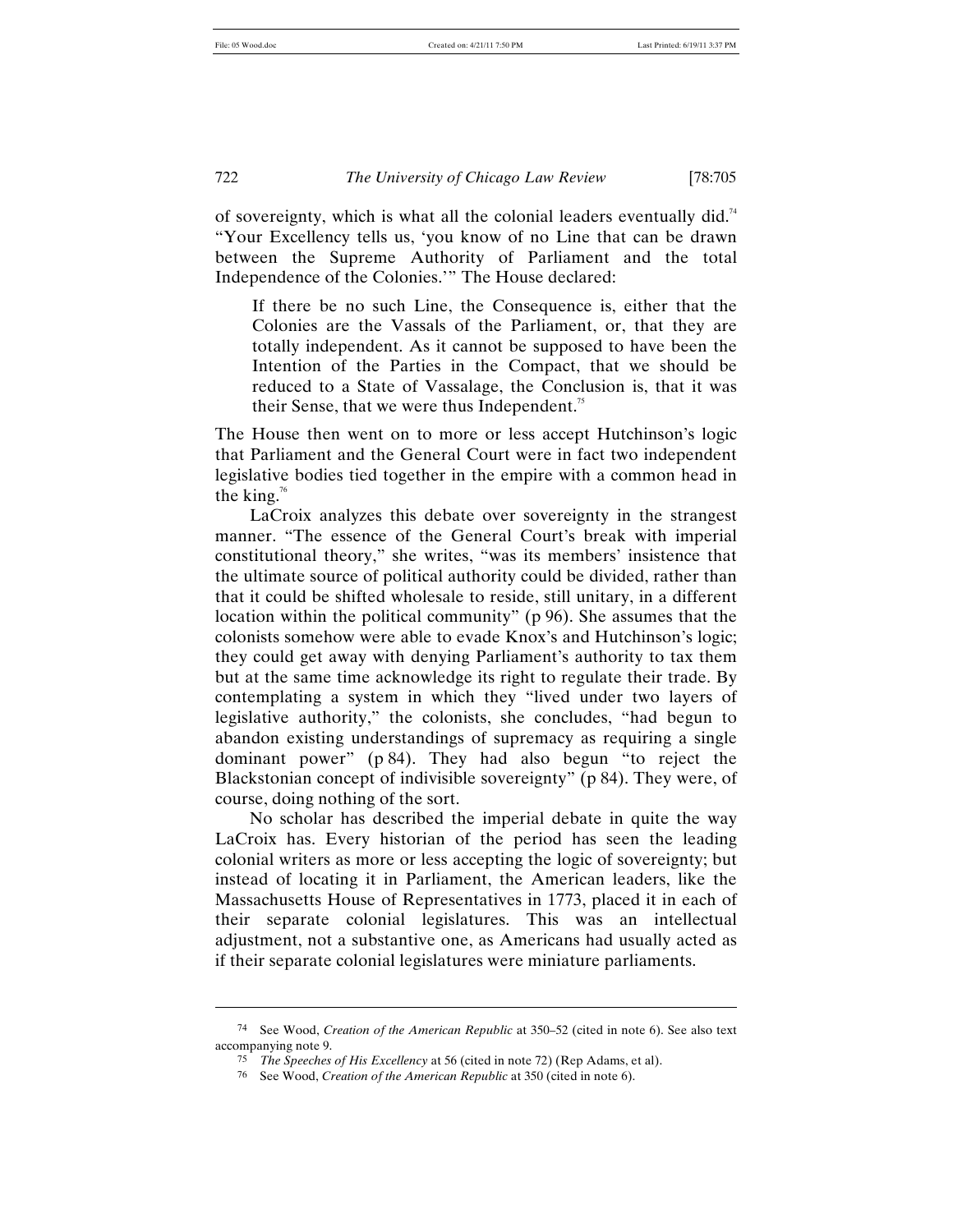l

722 *The University of Chicago Law Review* [78:705

of sovereignty, which is what all the colonial leaders eventually did.<sup>74</sup> "Your Excellency tells us, 'you know of no Line that can be drawn between the Supreme Authority of Parliament and the total Independence of the Colonies.'" The House declared:

If there be no such Line, the Consequence is, either that the Colonies are the Vassals of the Parliament, or, that they are totally independent. As it cannot be supposed to have been the Intention of the Parties in the Compact, that we should be reduced to a State of Vassalage, the Conclusion is, that it was their Sense, that we were thus Independent.<sup>75</sup>

The House then went on to more or less accept Hutchinson's logic that Parliament and the General Court were in fact two independent legislative bodies tied together in the empire with a common head in the king. $76$ 

LaCroix analyzes this debate over sovereignty in the strangest manner. "The essence of the General Court's break with imperial constitutional theory," she writes, "was its members' insistence that the ultimate source of political authority could be divided, rather than that it could be shifted wholesale to reside, still unitary, in a different location within the political community" (p 96). She assumes that the colonists somehow were able to evade Knox's and Hutchinson's logic; they could get away with denying Parliament's authority to tax them but at the same time acknowledge its right to regulate their trade. By contemplating a system in which they "lived under two layers of legislative authority," the colonists, she concludes, "had begun to abandon existing understandings of supremacy as requiring a single dominant power" (p 84). They had also begun "to reject the Blackstonian concept of indivisible sovereignty" (p 84). They were, of course, doing nothing of the sort.

No scholar has described the imperial debate in quite the way LaCroix has. Every historian of the period has seen the leading colonial writers as more or less accepting the logic of sovereignty; but instead of locating it in Parliament, the American leaders, like the Massachusetts House of Representatives in 1773, placed it in each of their separate colonial legislatures. This was an intellectual adjustment, not a substantive one, as Americans had usually acted as if their separate colonial legislatures were miniature parliaments.

<sup>74</sup> See Wood, *Creation of the American Republic* at 350–52 (cited in note 6). See also text accompanying note 9.

<sup>75</sup> *The Speeches of His Excellency* at 56 (cited in note 72) (Rep Adams, et al).

<sup>76</sup> See Wood, *Creation of the American Republic* at 350 (cited in note 6).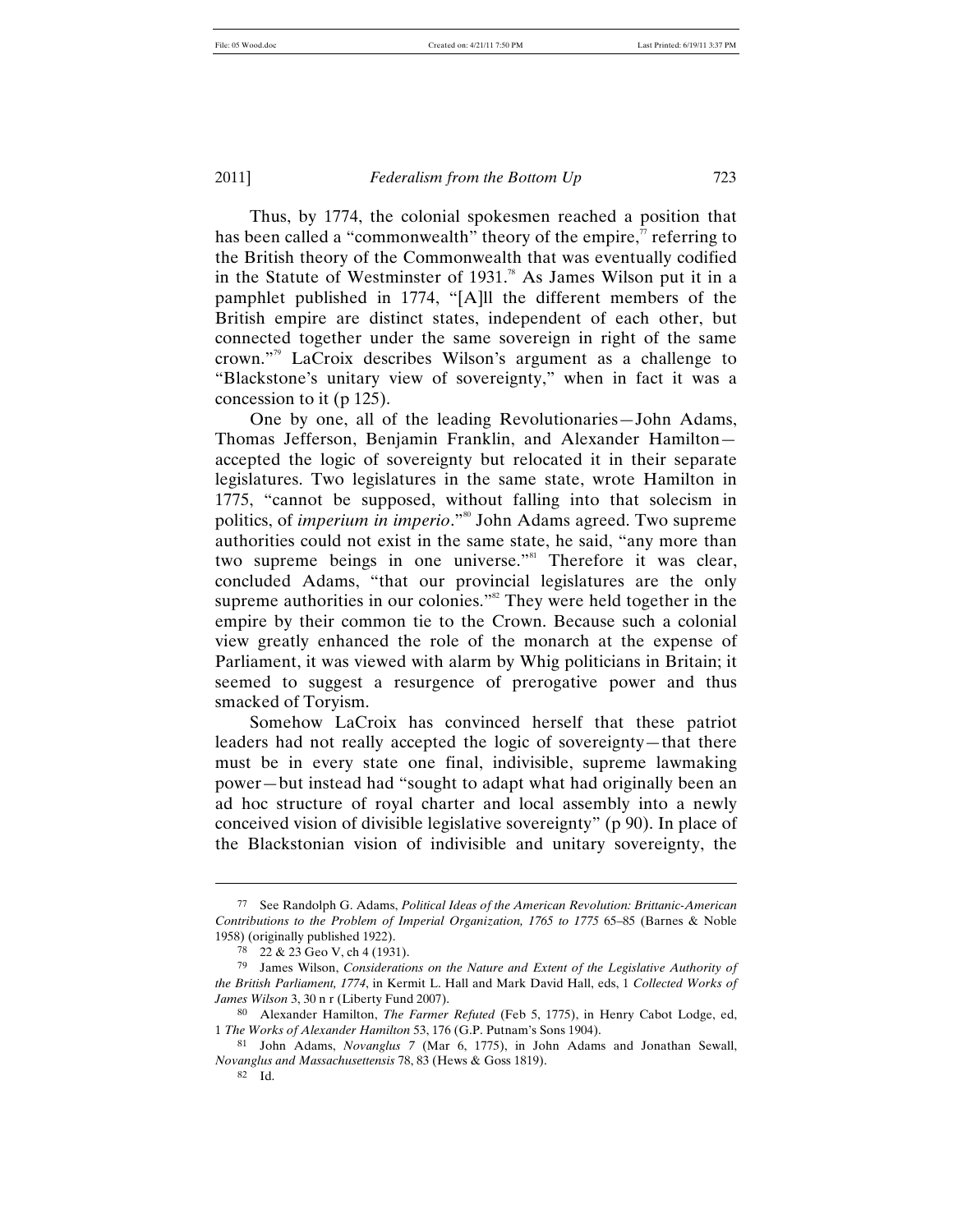Thus, by 1774, the colonial spokesmen reached a position that has been called a "commonwealth" theory of the empire, $\overline{a}$  referring to the British theory of the Commonwealth that was eventually codified in the Statute of Westminster of 1931. <sup>78</sup> As James Wilson put it in a pamphlet published in 1774, "[A]ll the different members of the British empire are distinct states, independent of each other, but connected together under the same sovereign in right of the same crown."79 LaCroix describes Wilson's argument as a challenge to "Blackstone's unitary view of sovereignty," when in fact it was a concession to it (p 125).

One by one, all of the leading Revolutionaries—John Adams, Thomas Jefferson, Benjamin Franklin, and Alexander Hamilton accepted the logic of sovereignty but relocated it in their separate legislatures. Two legislatures in the same state, wrote Hamilton in 1775, "cannot be supposed, without falling into that solecism in politics, of *imperium in imperio*."80 John Adams agreed. Two supreme authorities could not exist in the same state, he said, "any more than two supreme beings in one universe."<sup>81</sup> Therefore it was clear, concluded Adams, "that our provincial legislatures are the only supreme authorities in our colonies."<sup>82</sup> They were held together in the empire by their common tie to the Crown. Because such a colonial view greatly enhanced the role of the monarch at the expense of Parliament, it was viewed with alarm by Whig politicians in Britain; it seemed to suggest a resurgence of prerogative power and thus smacked of Toryism.

Somehow LaCroix has convinced herself that these patriot leaders had not really accepted the logic of sovereignty—that there must be in every state one final, indivisible, supreme lawmaking power—but instead had "sought to adapt what had originally been an ad hoc structure of royal charter and local assembly into a newly conceived vision of divisible legislative sovereignty" (p 90). In place of the Blackstonian vision of indivisible and unitary sovereignty, the

<sup>77</sup> See Randolph G. Adams, *Political Ideas of the American Revolution: Brittanic-American Contributions to the Problem of Imperial Organization, 1765 to 1775* 65–85 (Barnes & Noble 1958) (originally published 1922).

<sup>78</sup> 22 & 23 Geo V, ch 4 (1931).

<sup>79</sup> James Wilson, *Considerations on the Nature and Extent of the Legislative Authority of the British Parliament, 1774*, in Kermit L. Hall and Mark David Hall, eds, 1 *Collected Works of James Wilson* 3, 30 n r (Liberty Fund 2007).

<sup>80</sup> Alexander Hamilton, *The Farmer Refuted* (Feb 5, 1775), in Henry Cabot Lodge, ed, 1 *The Works of Alexander Hamilton* 53, 176 (G.P. Putnam's Sons 1904).

<sup>81</sup> John Adams, *Novanglus 7* (Mar 6, 1775), in John Adams and Jonathan Sewall, *Novanglus and Massachusettensis* 78, 83 (Hews & Goss 1819).

<sup>82</sup> Id.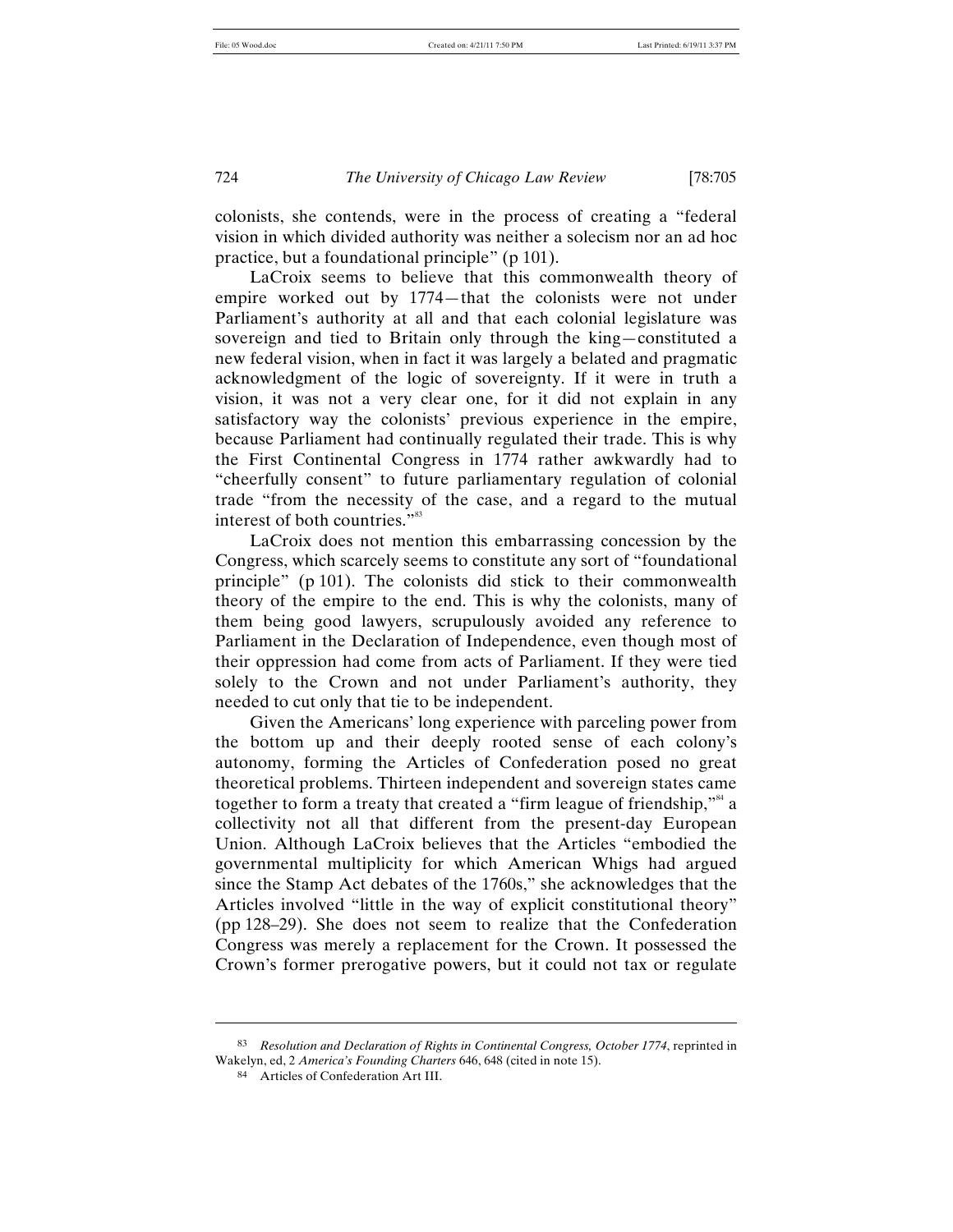colonists, she contends, were in the process of creating a "federal vision in which divided authority was neither a solecism nor an ad hoc practice, but a foundational principle" (p 101).

LaCroix seems to believe that this commonwealth theory of empire worked out by 1774—that the colonists were not under Parliament's authority at all and that each colonial legislature was sovereign and tied to Britain only through the king—constituted a new federal vision, when in fact it was largely a belated and pragmatic acknowledgment of the logic of sovereignty. If it were in truth a vision, it was not a very clear one, for it did not explain in any satisfactory way the colonists' previous experience in the empire, because Parliament had continually regulated their trade. This is why the First Continental Congress in 1774 rather awkwardly had to "cheerfully consent" to future parliamentary regulation of colonial trade "from the necessity of the case, and a regard to the mutual interest of both countries."<sup>83</sup>

LaCroix does not mention this embarrassing concession by the Congress, which scarcely seems to constitute any sort of "foundational principle" (p 101). The colonists did stick to their commonwealth theory of the empire to the end. This is why the colonists, many of them being good lawyers, scrupulously avoided any reference to Parliament in the Declaration of Independence, even though most of their oppression had come from acts of Parliament. If they were tied solely to the Crown and not under Parliament's authority, they needed to cut only that tie to be independent.

Given the Americans' long experience with parceling power from the bottom up and their deeply rooted sense of each colony's autonomy, forming the Articles of Confederation posed no great theoretical problems. Thirteen independent and sovereign states came together to form a treaty that created a "firm league of friendship,"<sup>84</sup> a collectivity not all that different from the present-day European Union. Although LaCroix believes that the Articles "embodied the governmental multiplicity for which American Whigs had argued since the Stamp Act debates of the 1760s," she acknowledges that the Articles involved "little in the way of explicit constitutional theory" (pp 128–29). She does not seem to realize that the Confederation Congress was merely a replacement for the Crown. It possessed the Crown's former prerogative powers, but it could not tax or regulate

<sup>83</sup> *Resolution and Declaration of Rights in Continental Congress, October 1774*, reprinted in Wakelyn, ed, 2 *America's Founding Charters* 646, 648 (cited in note 15).

<sup>84</sup> Articles of Confederation Art III.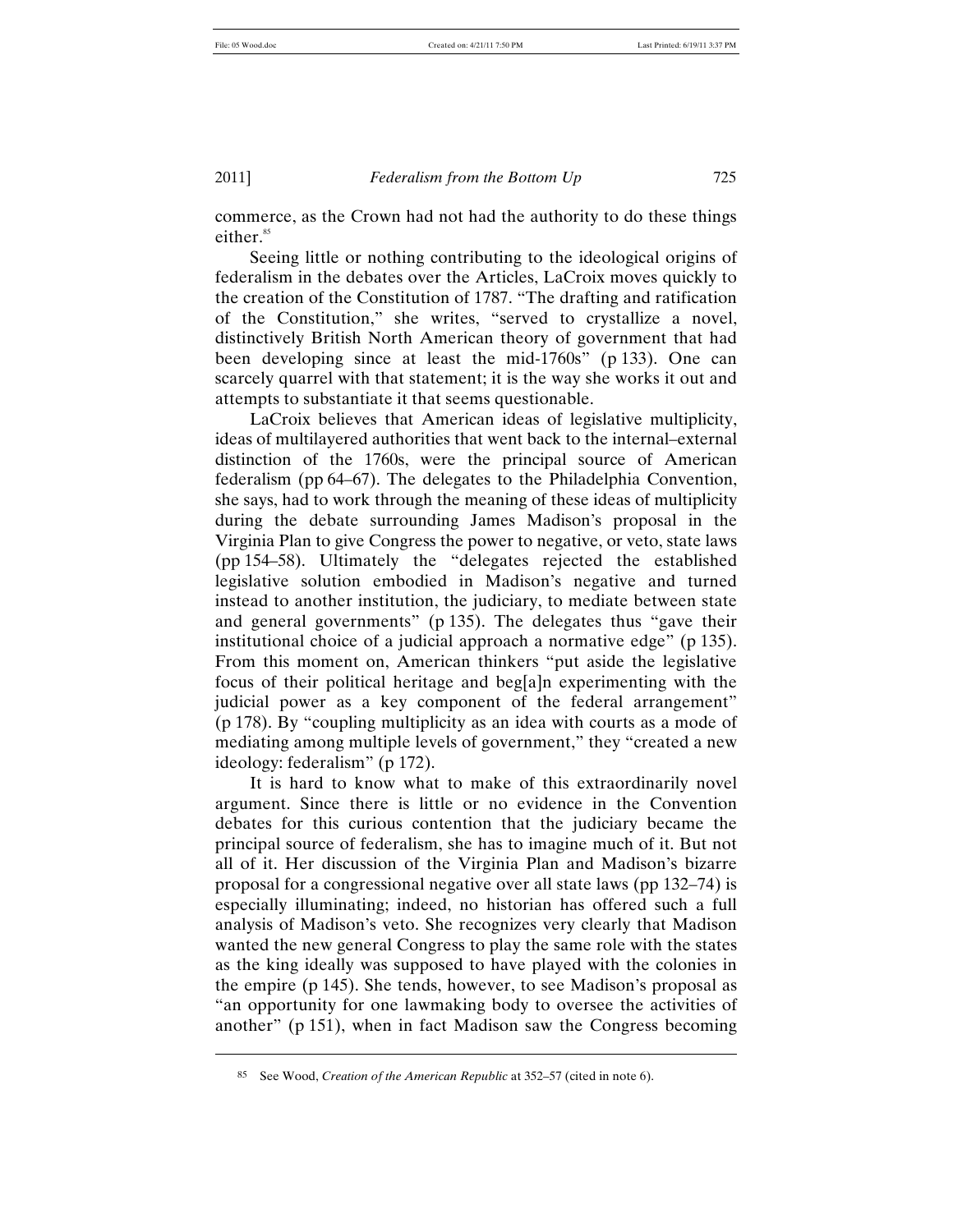commerce, as the Crown had not had the authority to do these things either.<sup>85</sup>

Seeing little or nothing contributing to the ideological origins of federalism in the debates over the Articles, LaCroix moves quickly to the creation of the Constitution of 1787. "The drafting and ratification of the Constitution," she writes, "served to crystallize a novel, distinctively British North American theory of government that had been developing since at least the mid-1760s" (p 133). One can scarcely quarrel with that statement; it is the way she works it out and attempts to substantiate it that seems questionable.

LaCroix believes that American ideas of legislative multiplicity, ideas of multilayered authorities that went back to the internal–external distinction of the 1760s, were the principal source of American federalism (pp 64–67). The delegates to the Philadelphia Convention, she says, had to work through the meaning of these ideas of multiplicity during the debate surrounding James Madison's proposal in the Virginia Plan to give Congress the power to negative, or veto, state laws (pp 154–58). Ultimately the "delegates rejected the established legislative solution embodied in Madison's negative and turned instead to another institution, the judiciary, to mediate between state and general governments" (p 135). The delegates thus "gave their institutional choice of a judicial approach a normative edge" (p 135). From this moment on, American thinkers "put aside the legislative focus of their political heritage and beg[a]n experimenting with the judicial power as a key component of the federal arrangement" (p 178). By "coupling multiplicity as an idea with courts as a mode of mediating among multiple levels of government," they "created a new ideology: federalism" (p 172).

It is hard to know what to make of this extraordinarily novel argument. Since there is little or no evidence in the Convention debates for this curious contention that the judiciary became the principal source of federalism, she has to imagine much of it. But not all of it. Her discussion of the Virginia Plan and Madison's bizarre proposal for a congressional negative over all state laws (pp 132–74) is especially illuminating; indeed, no historian has offered such a full analysis of Madison's veto. She recognizes very clearly that Madison wanted the new general Congress to play the same role with the states as the king ideally was supposed to have played with the colonies in the empire (p 145). She tends, however, to see Madison's proposal as "an opportunity for one lawmaking body to oversee the activities of another" (p 151), when in fact Madison saw the Congress becoming

<sup>85</sup> See Wood, *Creation of the American Republic* at 352–57 (cited in note 6).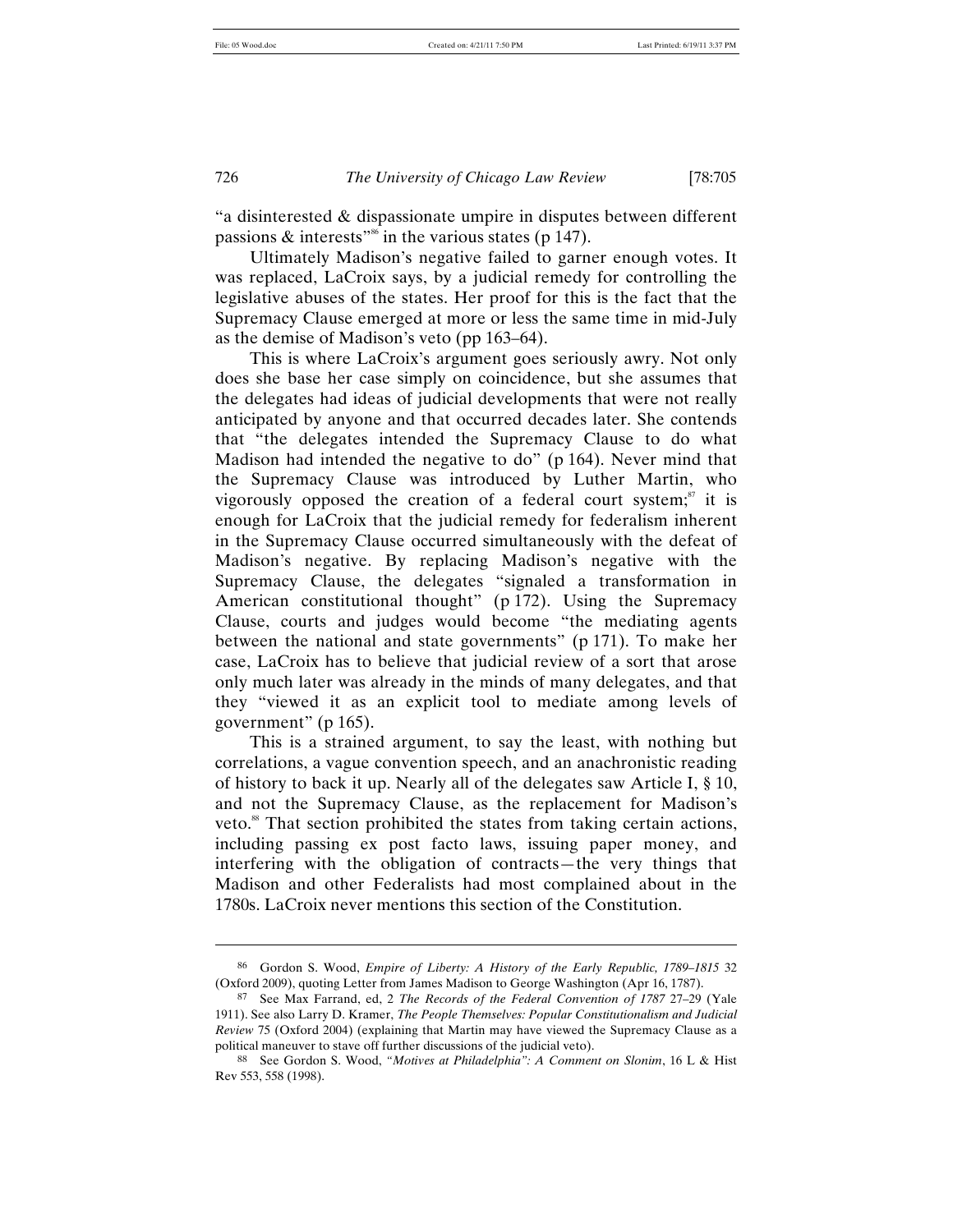"a disinterested & dispassionate umpire in disputes between different passions & interests<sup> $\frac{86}{6}$ </sup> in the various states (p 147).

Ultimately Madison's negative failed to garner enough votes. It was replaced, LaCroix says, by a judicial remedy for controlling the legislative abuses of the states. Her proof for this is the fact that the Supremacy Clause emerged at more or less the same time in mid-July as the demise of Madison's veto (pp 163–64).

This is where LaCroix's argument goes seriously awry. Not only does she base her case simply on coincidence, but she assumes that the delegates had ideas of judicial developments that were not really anticipated by anyone and that occurred decades later. She contends that "the delegates intended the Supremacy Clause to do what Madison had intended the negative to do" (p 164). Never mind that the Supremacy Clause was introduced by Luther Martin, who vigorously opposed the creation of a federal court system; $s^2$  it is enough for LaCroix that the judicial remedy for federalism inherent in the Supremacy Clause occurred simultaneously with the defeat of Madison's negative. By replacing Madison's negative with the Supremacy Clause, the delegates "signaled a transformation in American constitutional thought" (p 172). Using the Supremacy Clause, courts and judges would become "the mediating agents between the national and state governments" (p 171). To make her case, LaCroix has to believe that judicial review of a sort that arose only much later was already in the minds of many delegates, and that they "viewed it as an explicit tool to mediate among levels of government" (p 165).

This is a strained argument, to say the least, with nothing but correlations, a vague convention speech, and an anachronistic reading of history to back it up. Nearly all of the delegates saw Article I, § 10, and not the Supremacy Clause, as the replacement for Madison's veto.<sup>88</sup> That section prohibited the states from taking certain actions, including passing ex post facto laws, issuing paper money, and interfering with the obligation of contracts—the very things that Madison and other Federalists had most complained about in the 1780s. LaCroix never mentions this section of the Constitution.

 $\overline{a}$ 

<sup>86</sup> Gordon S. Wood, *Empire of Liberty: A History of the Early Republic, 1789–1815* 32 (Oxford 2009), quoting Letter from James Madison to George Washington (Apr 16, 1787).

<sup>87</sup> See Max Farrand, ed, 2 *The Records of the Federal Convention of 1787* 27–29 (Yale 1911). See also Larry D. Kramer, *The People Themselves: Popular Constitutionalism and Judicial Review* 75 (Oxford 2004) (explaining that Martin may have viewed the Supremacy Clause as a political maneuver to stave off further discussions of the judicial veto).

<sup>88</sup> See Gordon S. Wood, *"Motives at Philadelphia": A Comment on Slonim*, 16 L & Hist Rev 553, 558 (1998).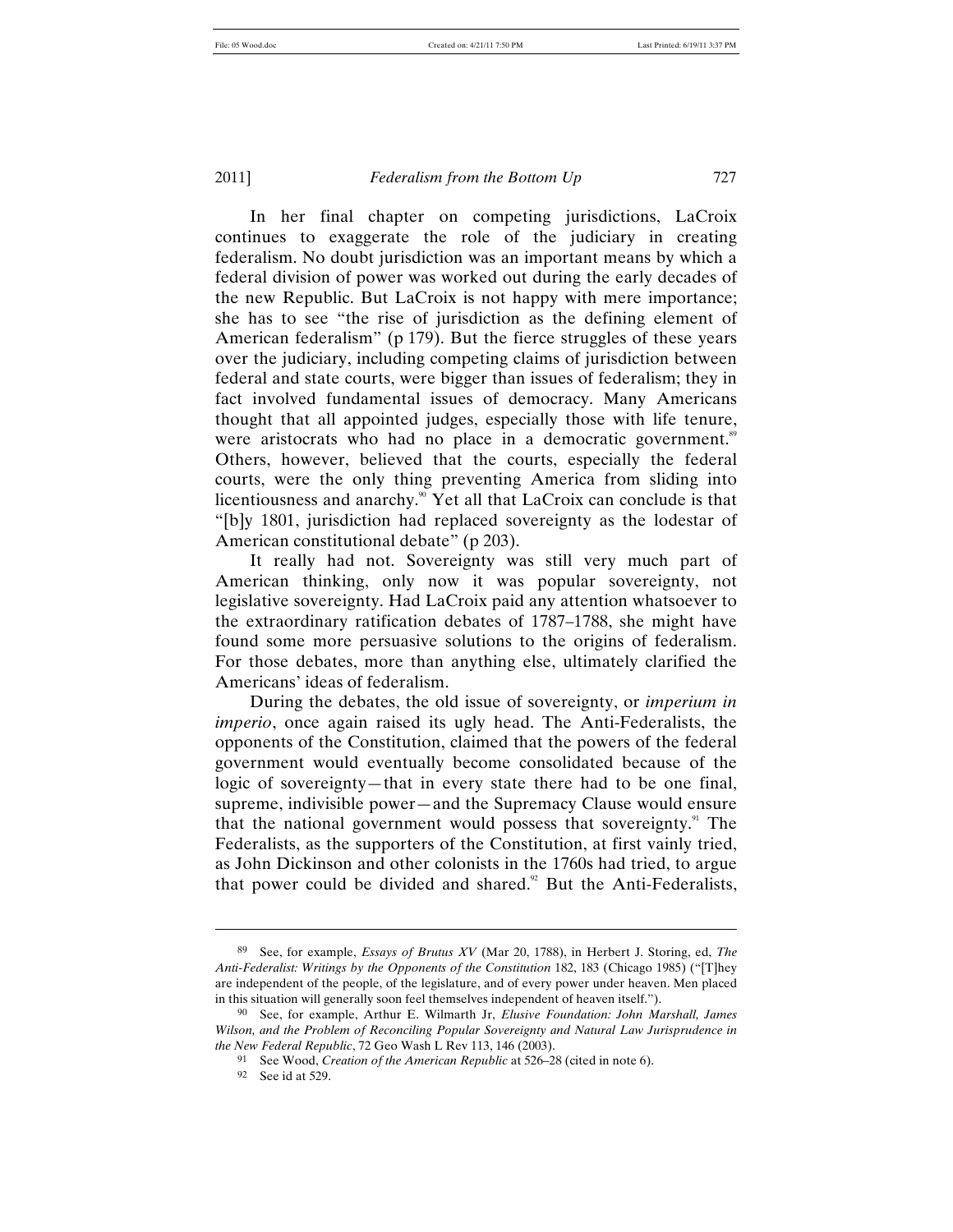In her final chapter on competing jurisdictions, LaCroix continues to exaggerate the role of the judiciary in creating federalism. No doubt jurisdiction was an important means by which a federal division of power was worked out during the early decades of the new Republic. But LaCroix is not happy with mere importance; she has to see "the rise of jurisdiction as the defining element of American federalism" (p 179). But the fierce struggles of these years over the judiciary, including competing claims of jurisdiction between federal and state courts, were bigger than issues of federalism; they in fact involved fundamental issues of democracy. Many Americans thought that all appointed judges, especially those with life tenure, were aristocrats who had no place in a democratic government.<sup>89</sup> Others, however, believed that the courts, especially the federal courts, were the only thing preventing America from sliding into licentiousness and anarchy.<sup>90</sup> Yet all that LaCroix can conclude is that "[b]y 1801, jurisdiction had replaced sovereignty as the lodestar of American constitutional debate" (p 203).

It really had not. Sovereignty was still very much part of American thinking, only now it was popular sovereignty, not legislative sovereignty. Had LaCroix paid any attention whatsoever to the extraordinary ratification debates of 1787–1788, she might have found some more persuasive solutions to the origins of federalism. For those debates, more than anything else, ultimately clarified the Americans' ideas of federalism.

During the debates, the old issue of sovereignty, or *imperium in imperio*, once again raised its ugly head. The Anti-Federalists, the opponents of the Constitution, claimed that the powers of the federal government would eventually become consolidated because of the logic of sovereignty—that in every state there had to be one final, supreme, indivisible power—and the Supremacy Clause would ensure that the national government would possess that sovereignty.<sup>91</sup> The Federalists, as the supporters of the Constitution, at first vainly tried, as John Dickinson and other colonists in the 1760s had tried, to argue that power could be divided and shared. $92$  But the Anti-Federalists,

<sup>89</sup> See, for example, *Essays of Brutus XV* (Mar 20, 1788), in Herbert J. Storing, ed, *The Anti-Federalist: Writings by the Opponents of the Constitution* 182, 183 (Chicago 1985) ("[T]hey are independent of the people, of the legislature, and of every power under heaven. Men placed in this situation will generally soon feel themselves independent of heaven itself.").

<sup>90</sup> See, for example, Arthur E. Wilmarth Jr, *Elusive Foundation: John Marshall, James Wilson, and the Problem of Reconciling Popular Sovereignty and Natural Law Jurisprudence in the New Federal Republic*, 72 Geo Wash L Rev 113, 146 (2003).

<sup>91</sup> See Wood, *Creation of the American Republic* at 526–28 (cited in note 6).

<sup>92</sup> See id at 529.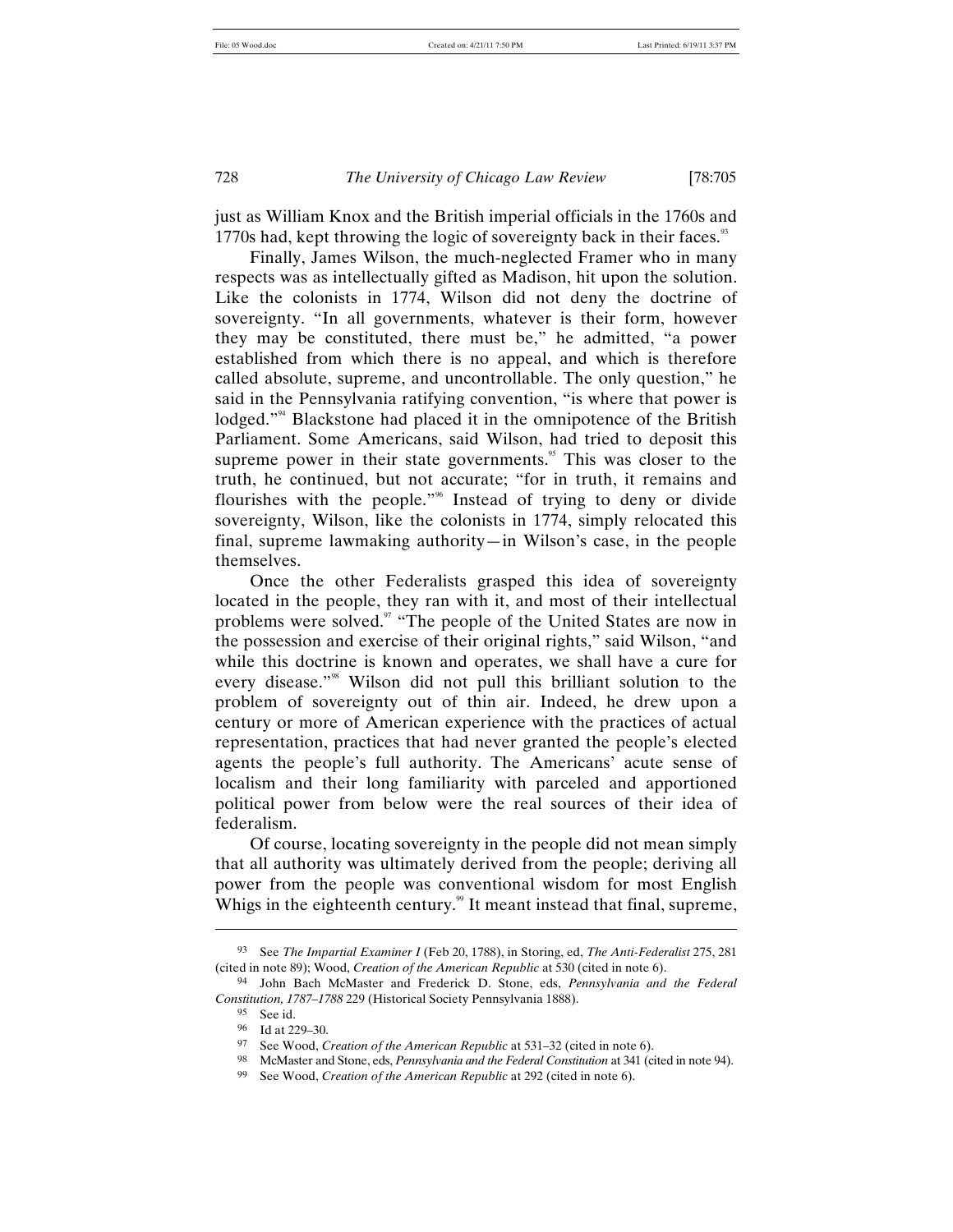just as William Knox and the British imperial officials in the 1760s and 1770s had, kept throwing the logic of sovereignty back in their faces.<sup>33</sup>

Finally, James Wilson, the much-neglected Framer who in many respects was as intellectually gifted as Madison, hit upon the solution. Like the colonists in 1774, Wilson did not deny the doctrine of sovereignty. "In all governments, whatever is their form, however they may be constituted, there must be," he admitted, "a power established from which there is no appeal, and which is therefore called absolute, supreme, and uncontrollable. The only question," he said in the Pennsylvania ratifying convention, "is where that power is lodged."<sup>44</sup> Blackstone had placed it in the omnipotence of the British Parliament. Some Americans, said Wilson, had tried to deposit this supreme power in their state governments.<sup>95</sup> This was closer to the truth, he continued, but not accurate; "for in truth, it remains and flourishes with the people."<sup>96</sup> Instead of trying to deny or divide sovereignty, Wilson, like the colonists in 1774, simply relocated this final, supreme lawmaking authority—in Wilson's case, in the people themselves.

Once the other Federalists grasped this idea of sovereignty located in the people, they ran with it, and most of their intellectual problems were solved.<sup>97</sup> "The people of the United States are now in the possession and exercise of their original rights," said Wilson, "and while this doctrine is known and operates, we shall have a cure for every disease."98 Wilson did not pull this brilliant solution to the problem of sovereignty out of thin air. Indeed, he drew upon a century or more of American experience with the practices of actual representation, practices that had never granted the people's elected agents the people's full authority. The Americans' acute sense of localism and their long familiarity with parceled and apportioned political power from below were the real sources of their idea of federalism.

Of course, locating sovereignty in the people did not mean simply that all authority was ultimately derived from the people; deriving all power from the people was conventional wisdom for most English Whigs in the eighteenth century.<sup>99</sup> It meant instead that final, supreme,

<sup>93</sup> See *The Impartial Examiner I* (Feb 20, 1788), in Storing, ed, *The Anti-Federalist* 275, 281 (cited in note 89); Wood, *Creation of the American Republic* at 530 (cited in note 6).

<sup>94</sup> John Bach McMaster and Frederick D. Stone, eds, *Pennsylvania and the Federal Constitution, 1787–1788* 229 (Historical Society Pennsylvania 1888).

<sup>95</sup> See id.

<sup>96</sup> Id at 229–30.

<sup>97</sup> See Wood, *Creation of the American Republic* at 531–32 (cited in note 6).

<sup>98</sup> McMaster and Stone, eds, *Pennsylvania and the Federal Constitution* at 341 (cited in note 94).

<sup>99</sup> See Wood, *Creation of the American Republic* at 292 (cited in note 6).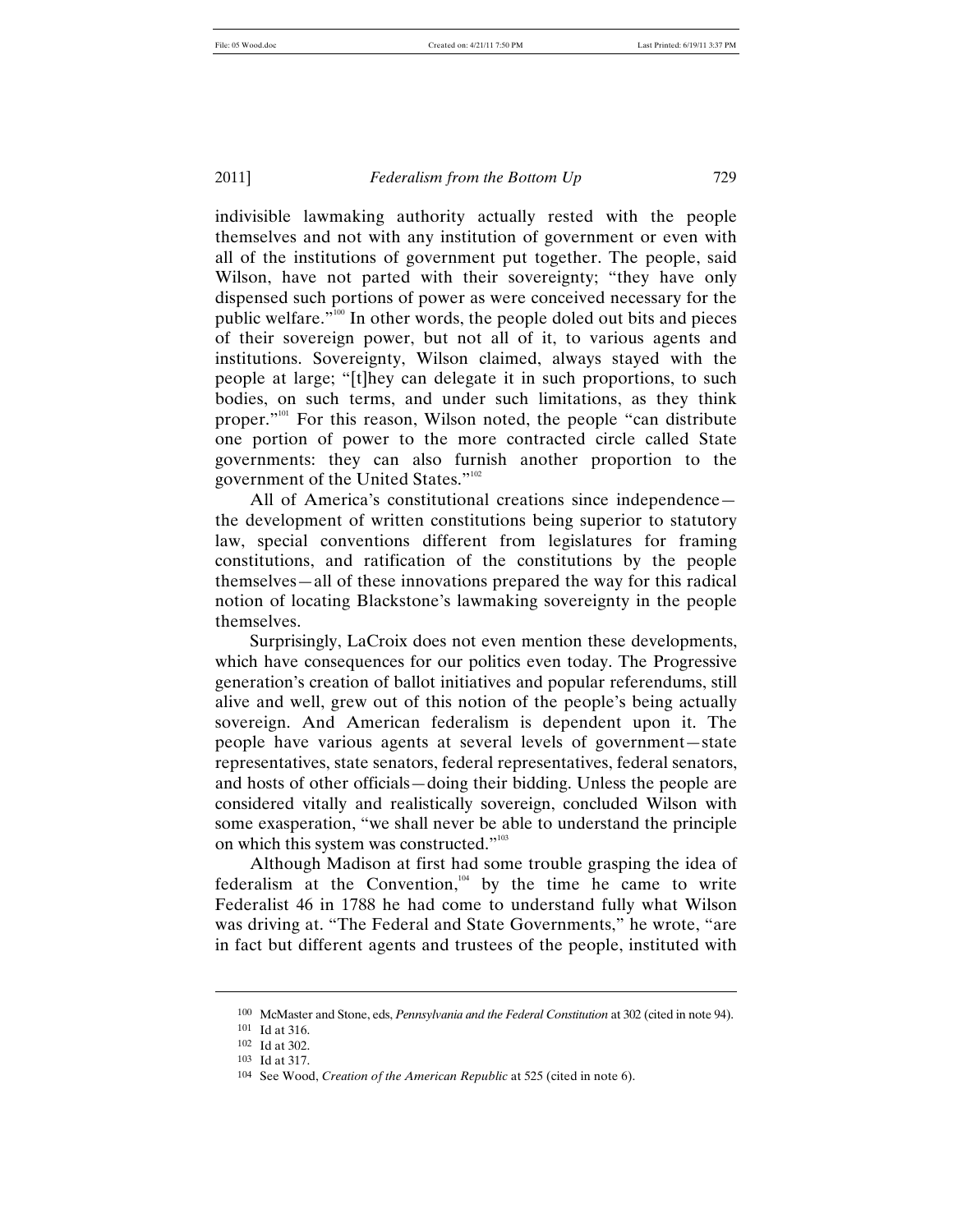indivisible lawmaking authority actually rested with the people themselves and not with any institution of government or even with all of the institutions of government put together. The people, said Wilson, have not parted with their sovereignty; "they have only dispensed such portions of power as were conceived necessary for the public welfare."100 In other words, the people doled out bits and pieces of their sovereign power, but not all of it, to various agents and institutions. Sovereignty, Wilson claimed, always stayed with the people at large; "[t]hey can delegate it in such proportions, to such bodies, on such terms, and under such limitations, as they think proper." <sup>101</sup> For this reason, Wilson noted, the people "can distribute one portion of power to the more contracted circle called State governments: they can also furnish another proportion to the government of the United States."<sup>102</sup>

All of America's constitutional creations since independence the development of written constitutions being superior to statutory law, special conventions different from legislatures for framing constitutions, and ratification of the constitutions by the people themselves—all of these innovations prepared the way for this radical notion of locating Blackstone's lawmaking sovereignty in the people themselves.

Surprisingly, LaCroix does not even mention these developments, which have consequences for our politics even today. The Progressive generation's creation of ballot initiatives and popular referendums, still alive and well, grew out of this notion of the people's being actually sovereign. And American federalism is dependent upon it. The people have various agents at several levels of government—state representatives, state senators, federal representatives, federal senators, and hosts of other officials—doing their bidding. Unless the people are considered vitally and realistically sovereign, concluded Wilson with some exasperation, "we shall never be able to understand the principle on which this system was constructed."<sup>103</sup>

Although Madison at first had some trouble grasping the idea of federalism at the Convention,<sup>104</sup> by the time he came to write Federalist 46 in 1788 he had come to understand fully what Wilson was driving at. "The Federal and State Governments," he wrote, "are in fact but different agents and trustees of the people, instituted with

 $\overline{a}$ 

<sup>100</sup> McMaster and Stone, eds, *Pennsylvania and the Federal Constitution* at 302 (cited in note 94).

<sup>101</sup> Id at 316.

<sup>102</sup> Id at 302.

<sup>103</sup> Id at 317.

<sup>104</sup> See Wood, *Creation of the American Republic* at 525 (cited in note 6).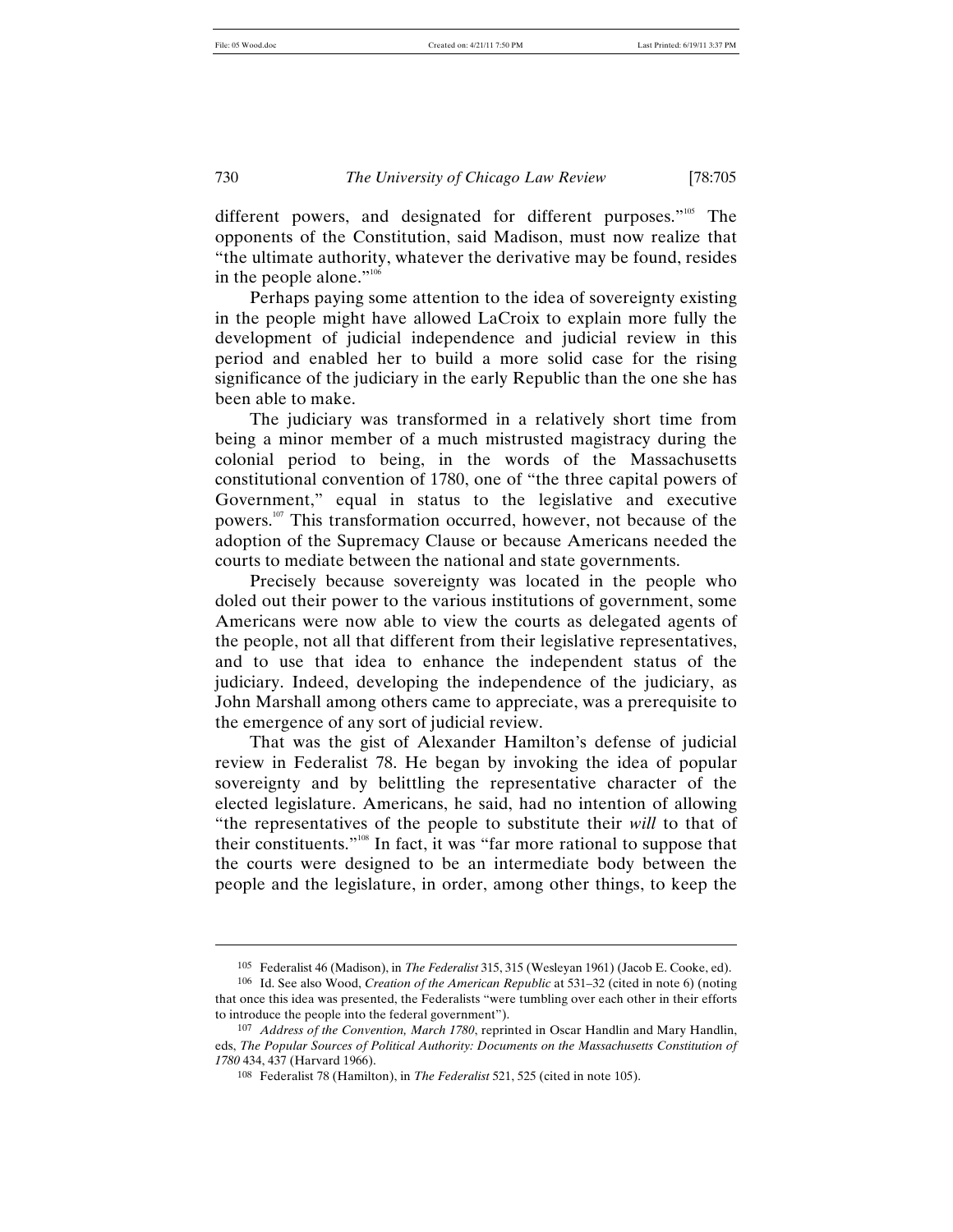$\overline{a}$ 

#### 730 *The University of Chicago Law Review* [78:705

different powers, and designated for different purposes."<sup>105</sup> The opponents of the Constitution, said Madison, must now realize that "the ultimate authority, whatever the derivative may be found, resides in the people alone."<sup>106</sup>

Perhaps paying some attention to the idea of sovereignty existing in the people might have allowed LaCroix to explain more fully the development of judicial independence and judicial review in this period and enabled her to build a more solid case for the rising significance of the judiciary in the early Republic than the one she has been able to make.

The judiciary was transformed in a relatively short time from being a minor member of a much mistrusted magistracy during the colonial period to being, in the words of the Massachusetts constitutional convention of 1780, one of "the three capital powers of Government," equal in status to the legislative and executive powers.107 This transformation occurred, however, not because of the adoption of the Supremacy Clause or because Americans needed the courts to mediate between the national and state governments.

Precisely because sovereignty was located in the people who doled out their power to the various institutions of government, some Americans were now able to view the courts as delegated agents of the people, not all that different from their legislative representatives, and to use that idea to enhance the independent status of the judiciary. Indeed, developing the independence of the judiciary, as John Marshall among others came to appreciate, was a prerequisite to the emergence of any sort of judicial review.

That was the gist of Alexander Hamilton's defense of judicial review in Federalist 78. He began by invoking the idea of popular sovereignty and by belittling the representative character of the elected legislature. Americans, he said, had no intention of allowing "the representatives of the people to substitute their *will* to that of their constituents."108 In fact, it was "far more rational to suppose that the courts were designed to be an intermediate body between the people and the legislature, in order, among other things, to keep the

<sup>105</sup> Federalist 46 (Madison), in *The Federalist* 315, 315 (Wesleyan 1961) (Jacob E. Cooke, ed).

<sup>106</sup> Id. See also Wood, *Creation of the American Republic* at 531–32 (cited in note 6) (noting that once this idea was presented, the Federalists "were tumbling over each other in their efforts to introduce the people into the federal government").

<sup>107</sup> *Address of the Convention, March 1780*, reprinted in Oscar Handlin and Mary Handlin, eds, *The Popular Sources of Political Authority: Documents on the Massachusetts Constitution of 1780* 434, 437 (Harvard 1966).

<sup>108</sup> Federalist 78 (Hamilton), in *The Federalist* 521, 525 (cited in note 105).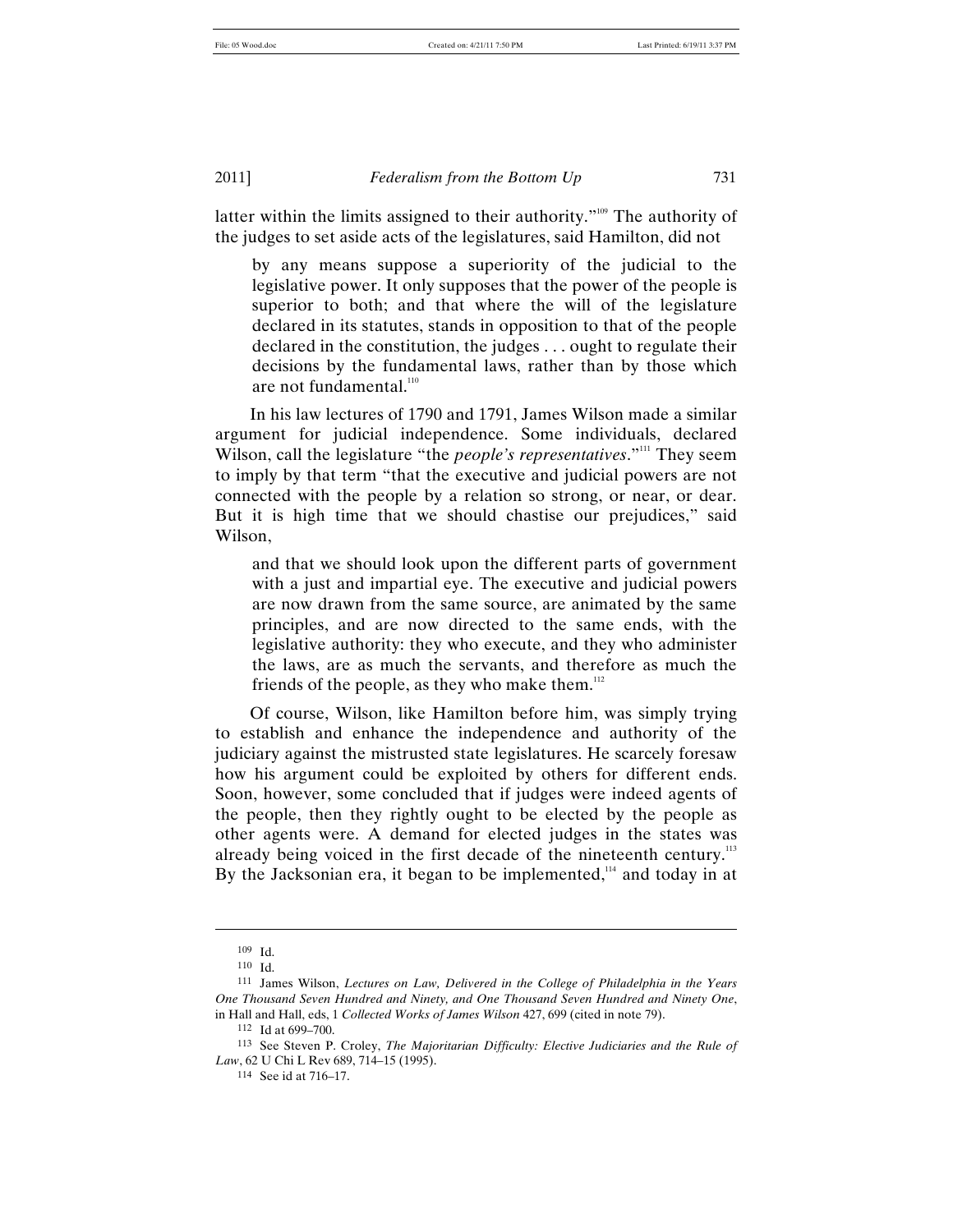latter within the limits assigned to their authority."<sup>109</sup> The authority of the judges to set aside acts of the legislatures, said Hamilton, did not

by any means suppose a superiority of the judicial to the legislative power. It only supposes that the power of the people is superior to both; and that where the will of the legislature declared in its statutes, stands in opposition to that of the people declared in the constitution, the judges . . . ought to regulate their decisions by the fundamental laws, rather than by those which are not fundamental.<sup>110</sup>

In his law lectures of 1790 and 1791, James Wilson made a similar argument for judicial independence. Some individuals, declared Wilson, call the legislature "the *people's representatives*."<sup>111</sup> They seem to imply by that term "that the executive and judicial powers are not connected with the people by a relation so strong, or near, or dear. But it is high time that we should chastise our prejudices," said Wilson,

and that we should look upon the different parts of government with a just and impartial eye. The executive and judicial powers are now drawn from the same source, are animated by the same principles, and are now directed to the same ends, with the legislative authority: they who execute, and they who administer the laws, are as much the servants, and therefore as much the friends of the people, as they who make them. $112$ 

Of course, Wilson, like Hamilton before him, was simply trying to establish and enhance the independence and authority of the judiciary against the mistrusted state legislatures. He scarcely foresaw how his argument could be exploited by others for different ends. Soon, however, some concluded that if judges were indeed agents of the people, then they rightly ought to be elected by the people as other agents were. A demand for elected judges in the states was already being voiced in the first decade of the nineteenth century.<sup>113</sup> By the Jacksonian era, it began to be implemented, $144$  and today in at

<sup>109</sup> Id.

<sup>110</sup> Id.

<sup>111</sup> James Wilson, *Lectures on Law, Delivered in the College of Philadelphia in the Years One Thousand Seven Hundred and Ninety, and One Thousand Seven Hundred and Ninety One*, in Hall and Hall, eds, 1 *Collected Works of James Wilson* 427, 699 (cited in note 79).

<sup>112</sup> Id at 699–700.

<sup>113</sup> See Steven P. Croley, *The Majoritarian Difficulty: Elective Judiciaries and the Rule of Law*, 62 U Chi L Rev 689, 714–15 (1995).

<sup>114</sup> See id at 716–17.